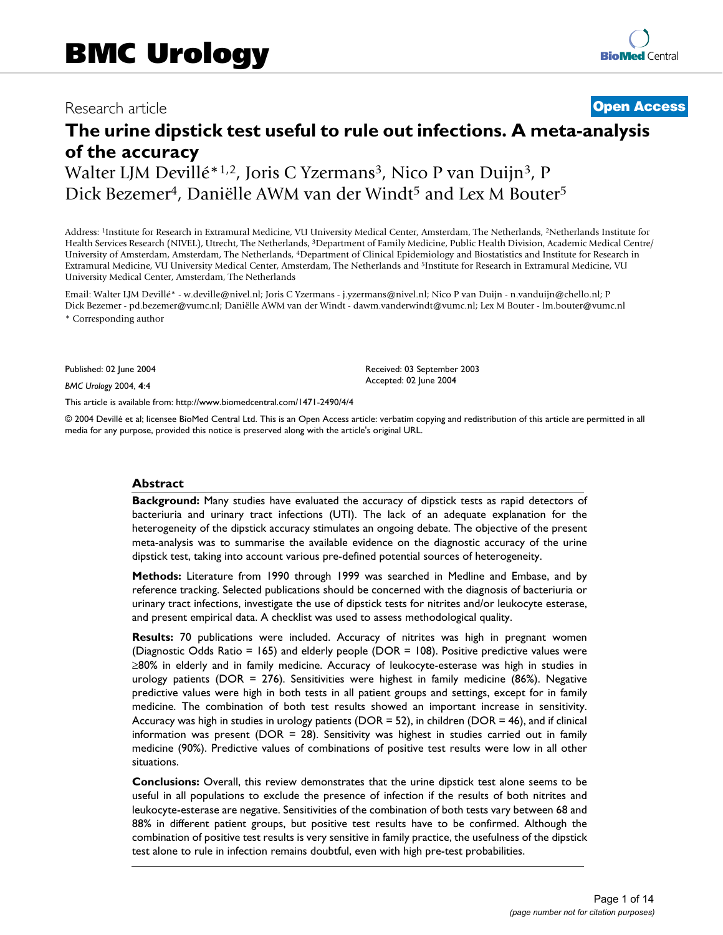## Research article **[Open Access](http://www.biomedcentral.com/info/about/charter/)**

# **The urine dipstick test useful to rule out infections. A meta-analysis of the accuracy** Walter LJM Devillé<sup>\*1,2</sup>, Joris C Yzermans<sup>3</sup>, Nico P van Duijn<sup>3</sup>, P

Dick Bezemer<sup>4</sup>, Daniëlle AWM van der Windt<sup>5</sup> and Lex M Bouter<sup>5</sup>

Address: 1Institute for Research in Extramural Medicine, VU University Medical Center, Amsterdam, The Netherlands, 2Netherlands Institute for Health Services Research (NIVEL), Utrecht, The Netherlands, 3Department of Family Medicine, Public Health Division, Academic Medical Centre/ University of Amsterdam, Amsterdam, The Netherlands, 4Department of Clinical Epidemiology and Biostatistics and Institute for Research in Extramural Medicine, VU University Medical Center, Amsterdam, The Netherlands and 5Institute for Research in Extramural Medicine, VU University Medical Center, Amsterdam, The Netherlands

Email: Walter LJM Devillé\* - w.deville@nivel.nl; Joris C Yzermans - j.yzermans@nivel.nl; Nico P van Duijn - n.vanduijn@chello.nl; P Dick Bezemer - pd.bezemer@vumc.nl; Daniëlle AWM van der Windt - dawm.vanderwindt@vumc.nl; Lex M Bouter - lm.bouter@vumc.nl \* Corresponding author

Published: 02 June 2004

*BMC Urology* 2004, **4**:4

[This article is available from: http://www.biomedcentral.com/1471-2490/4/4](http://www.biomedcentral.com/1471-2490/4/4)

© 2004 Devillé et al; licensee BioMed Central Ltd. This is an Open Access article: verbatim copying and redistribution of this article are permitted in all media for any purpose, provided this notice is preserved along with the article's original URL.

Received: 03 September 2003 Accepted: 02 June 2004

## **Abstract**

**Background:** Many studies have evaluated the accuracy of dipstick tests as rapid detectors of bacteriuria and urinary tract infections (UTI). The lack of an adequate explanation for the heterogeneity of the dipstick accuracy stimulates an ongoing debate. The objective of the present meta-analysis was to summarise the available evidence on the diagnostic accuracy of the urine dipstick test, taking into account various pre-defined potential sources of heterogeneity.

**Methods:** Literature from 1990 through 1999 was searched in Medline and Embase, and by reference tracking. Selected publications should be concerned with the diagnosis of bacteriuria or urinary tract infections, investigate the use of dipstick tests for nitrites and/or leukocyte esterase, and present empirical data. A checklist was used to assess methodological quality.

**Results:** 70 publications were included. Accuracy of nitrites was high in pregnant women (Diagnostic Odds Ratio = 165) and elderly people (DOR = 108). Positive predictive values were ≥80% in elderly and in family medicine. Accuracy of leukocyte-esterase was high in studies in urology patients (DOR = 276). Sensitivities were highest in family medicine (86%). Negative predictive values were high in both tests in all patient groups and settings, except for in family medicine. The combination of both test results showed an important increase in sensitivity. Accuracy was high in studies in urology patients (DOR = 52), in children (DOR = 46), and if clinical information was present ( $DOR = 28$ ). Sensitivity was highest in studies carried out in family medicine (90%). Predictive values of combinations of positive test results were low in all other situations.

**Conclusions:** Overall, this review demonstrates that the urine dipstick test alone seems to be useful in all populations to exclude the presence of infection if the results of both nitrites and leukocyte-esterase are negative. Sensitivities of the combination of both tests vary between 68 and 88% in different patient groups, but positive test results have to be confirmed. Although the combination of positive test results is very sensitive in family practice, the usefulness of the dipstick test alone to rule in infection remains doubtful, even with high pre-test probabilities.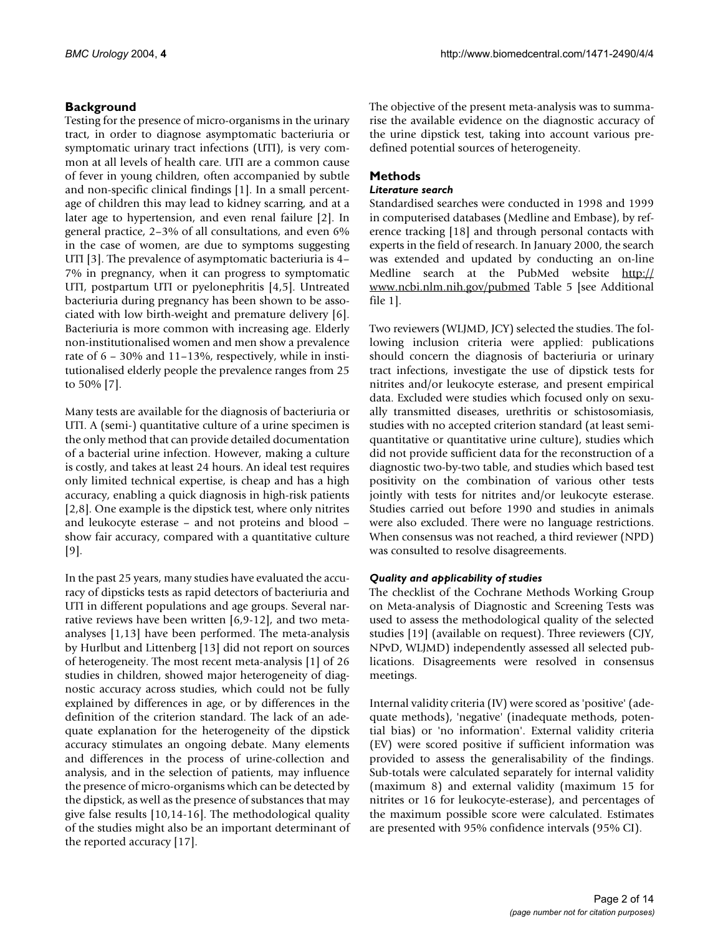## **Background**

Testing for the presence of micro-organisms in the urinary tract, in order to diagnose asymptomatic bacteriuria or symptomatic urinary tract infections (UTI), is very common at all levels of health care. UTI are a common cause of fever in young children, often accompanied by subtle and non-specific clinical findings [1]. In a small percentage of children this may lead to kidney scarring, and at a later age to hypertension, and even renal failure [2]. In general practice, 2–3% of all consultations, and even 6% in the case of women, are due to symptoms suggesting UTI [3]. The prevalence of asymptomatic bacteriuria is 4– 7% in pregnancy, when it can progress to symptomatic UTI, postpartum UTI or pyelonephritis [4,5]. Untreated bacteriuria during pregnancy has been shown to be associated with low birth-weight and premature delivery [6]. Bacteriuria is more common with increasing age. Elderly non-institutionalised women and men show a prevalence rate of 6 – 30% and 11–13%, respectively, while in institutionalised elderly people the prevalence ranges from 25 to 50% [7].

Many tests are available for the diagnosis of bacteriuria or UTI. A (semi-) quantitative culture of a urine specimen is the only method that can provide detailed documentation of a bacterial urine infection. However, making a culture is costly, and takes at least 24 hours. An ideal test requires only limited technical expertise, is cheap and has a high accuracy, enabling a quick diagnosis in high-risk patients [2,8]. One example is the dipstick test, where only nitrites and leukocyte esterase – and not proteins and blood – show fair accuracy, compared with a quantitative culture [9].

In the past 25 years, many studies have evaluated the accuracy of dipsticks tests as rapid detectors of bacteriuria and UTI in different populations and age groups. Several narrative reviews have been written [6,9-12], and two metaanalyses [1,13] have been performed. The meta-analysis by Hurlbut and Littenberg [13] did not report on sources of heterogeneity. The most recent meta-analysis [1] of 26 studies in children, showed major heterogeneity of diagnostic accuracy across studies, which could not be fully explained by differences in age, or by differences in the definition of the criterion standard. The lack of an adequate explanation for the heterogeneity of the dipstick accuracy stimulates an ongoing debate. Many elements and differences in the process of urine-collection and analysis, and in the selection of patients, may influence the presence of micro-organisms which can be detected by the dipstick, as well as the presence of substances that may give false results [10,14-16]. The methodological quality of the studies might also be an important determinant of the reported accuracy [17].

The objective of the present meta-analysis was to summarise the available evidence on the diagnostic accuracy of the urine dipstick test, taking into account various predefined potential sources of heterogeneity.

## **Methods**

## *Literature search*

Standardised searches were conducted in 1998 and 1999 in computerised databases (Medline and Embase), by reference tracking [18] and through personal contacts with experts in the field of research. In January 2000, the search was extended and updated by conducting an on-line Medline search at the PubMed website [http://](http://www.ncbi.nlm.nih.gov/pubmed) [www.ncbi.nlm.nih.gov/pubmed](http://www.ncbi.nlm.nih.gov/pubmed) Table 5 [see Additional file 1].

Two reviewers (WLJMD, JCY) selected the studies. The following inclusion criteria were applied: publications should concern the diagnosis of bacteriuria or urinary tract infections, investigate the use of dipstick tests for nitrites and/or leukocyte esterase, and present empirical data. Excluded were studies which focused only on sexually transmitted diseases, urethritis or schistosomiasis, studies with no accepted criterion standard (at least semiquantitative or quantitative urine culture), studies which did not provide sufficient data for the reconstruction of a diagnostic two-by-two table, and studies which based test positivity on the combination of various other tests jointly with tests for nitrites and/or leukocyte esterase. Studies carried out before 1990 and studies in animals were also excluded. There were no language restrictions. When consensus was not reached, a third reviewer (NPD) was consulted to resolve disagreements.

## *Quality and applicability of studies*

The checklist of the Cochrane Methods Working Group on Meta-analysis of Diagnostic and Screening Tests was used to assess the methodological quality of the selected studies [19] (available on request). Three reviewers (CJY, NPvD, WLJMD) independently assessed all selected publications. Disagreements were resolved in consensus meetings.

Internal validity criteria (IV) were scored as 'positive' (adequate methods), 'negative' (inadequate methods, potential bias) or 'no information'. External validity criteria (EV) were scored positive if sufficient information was provided to assess the generalisability of the findings. Sub-totals were calculated separately for internal validity (maximum 8) and external validity (maximum 15 for nitrites or 16 for leukocyte-esterase), and percentages of the maximum possible score were calculated. Estimates are presented with 95% confidence intervals (95% CI).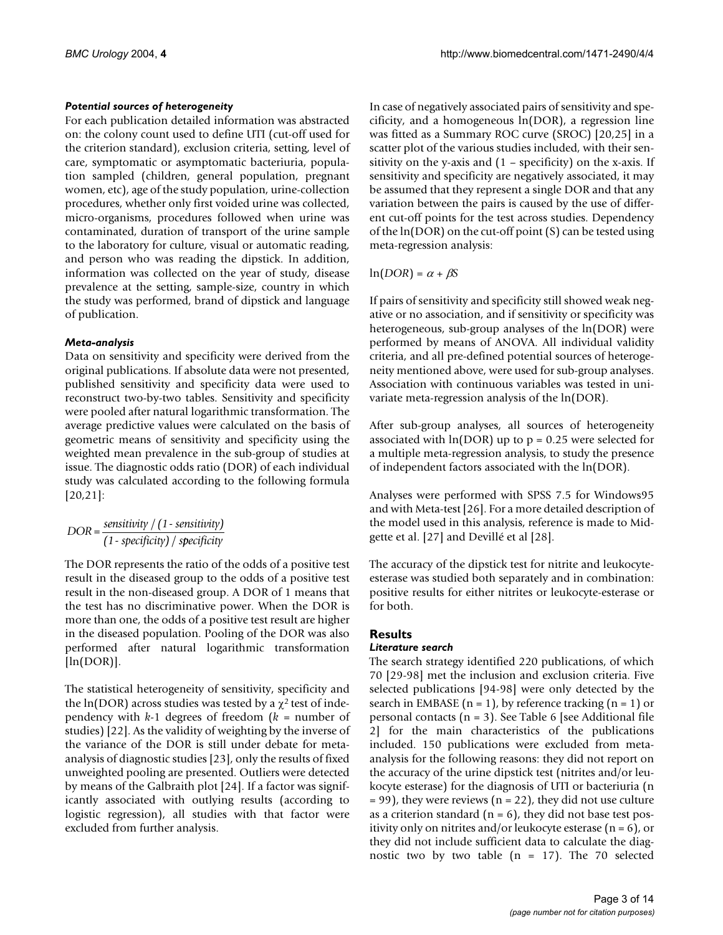## *Potential sources of heterogeneity*

For each publication detailed information was abstracted on: the colony count used to define UTI (cut-off used for the criterion standard), exclusion criteria, setting, level of care, symptomatic or asymptomatic bacteriuria, population sampled (children, general population, pregnant women, etc), age of the study population, urine-collection procedures, whether only first voided urine was collected, micro-organisms, procedures followed when urine was contaminated, duration of transport of the urine sample to the laboratory for culture, visual or automatic reading, and person who was reading the dipstick. In addition, information was collected on the year of study, disease prevalence at the setting, sample-size, country in which the study was performed, brand of dipstick and language of publication.

## *Meta-analysis*

Data on sensitivity and specificity were derived from the original publications. If absolute data were not presented, published sensitivity and specificity data were used to reconstruct two-by-two tables. Sensitivity and specificity were pooled after natural logarithmic transformation. The average predictive values were calculated on the basis of geometric means of sensitivity and specificity using the weighted mean prevalence in the sub-group of studies at issue. The diagnostic odds ratio (DOR) of each individual study was calculated according to the following formula [20,21]:

$$
DOR = \frac{sensitivity / (1 - sensitivity)}{(1 - specificity) / specificity}
$$

The DOR represents the ratio of the odds of a positive test result in the diseased group to the odds of a positive test result in the non-diseased group. A DOR of 1 means that the test has no discriminative power. When the DOR is more than one, the odds of a positive test result are higher in the diseased population. Pooling of the DOR was also performed after natural logarithmic transformation [ln(DOR)].

The statistical heterogeneity of sensitivity, specificity and the ln(DOR) across studies was tested by a  $\chi^2$  test of independency with *k*-1 degrees of freedom (*k* = number of studies) [22]. As the validity of weighting by the inverse of the variance of the DOR is still under debate for metaanalysis of diagnostic studies [23], only the results of fixed unweighted pooling are presented. Outliers were detected by means of the Galbraith plot [24]. If a factor was significantly associated with outlying results (according to logistic regression), all studies with that factor were excluded from further analysis.

In case of negatively associated pairs of sensitivity and specificity, and a homogeneous ln(DOR), a regression line was fitted as a Summary ROC curve (SROC) [20,25] in a scatter plot of the various studies included, with their sensitivity on the y-axis and  $(1 - \text{specificity})$  on the x-axis. If sensitivity and specificity are negatively associated, it may be assumed that they represent a single DOR and that any variation between the pairs is caused by the use of different cut-off points for the test across studies. Dependency of the ln(DOR) on the cut-off point (S) can be tested using meta-regression analysis:

## $ln(DOR) = \alpha + \beta S$

If pairs of sensitivity and specificity still showed weak negative or no association, and if sensitivity or specificity was heterogeneous, sub-group analyses of the ln(DOR) were performed by means of ANOVA. All individual validity criteria, and all pre-defined potential sources of heterogeneity mentioned above, were used for sub-group analyses. Association with continuous variables was tested in univariate meta-regression analysis of the ln(DOR).

After sub-group analyses, all sources of heterogeneity associated with  $ln(DOR)$  up to  $p = 0.25$  were selected for a multiple meta-regression analysis, to study the presence of independent factors associated with the ln(DOR).

Analyses were performed with SPSS 7.5 for Windows95 and with Meta-test [26]. For a more detailed description of the model used in this analysis, reference is made to Midgette et al. [27] and Devillé et al [28].

The accuracy of the dipstick test for nitrite and leukocyteesterase was studied both separately and in combination: positive results for either nitrites or leukocyte-esterase or for both.

## **Results**

## *Literature search*

The search strategy identified 220 publications, of which 70 [29-98] met the inclusion and exclusion criteria. Five selected publications [94-98] were only detected by the search in EMBASE ( $n = 1$ ), by reference tracking ( $n = 1$ ) or personal contacts (n = 3). See Table 6 [see Additional file 2] for the main characteristics of the publications included. 150 publications were excluded from metaanalysis for the following reasons: they did not report on the accuracy of the urine dipstick test (nitrites and/or leukocyte esterase) for the diagnosis of UTI or bacteriuria (n  $= 99$ ), they were reviews (n  $= 22$ ), they did not use culture as a criterion standard  $(n = 6)$ , they did not base test positivity only on nitrites and/or leukocyte esterase  $(n = 6)$ , or they did not include sufficient data to calculate the diagnostic two by two table  $(n = 17)$ . The 70 selected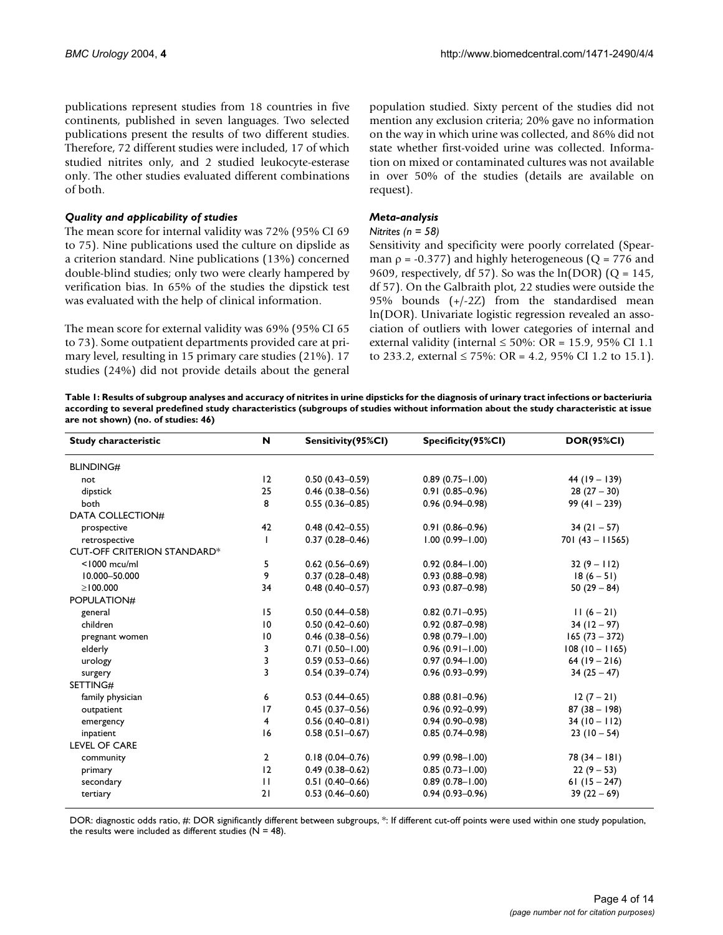publications represent studies from 18 countries in five continents, published in seven languages. Two selected publications present the results of two different studies. Therefore, 72 different studies were included, 17 of which studied nitrites only, and 2 studied leukocyte-esterase only. The other studies evaluated different combinations of both.

## *Quality and applicability of studies*

The mean score for internal validity was 72% (95% CI 69 to 75). Nine publications used the culture on dipslide as a criterion standard. Nine publications (13%) concerned double-blind studies; only two were clearly hampered by verification bias. In 65% of the studies the dipstick test was evaluated with the help of clinical information.

The mean score for external validity was 69% (95% CI 65 to 73). Some outpatient departments provided care at primary level, resulting in 15 primary care studies (21%). 17 studies (24%) did not provide details about the general

population studied. Sixty percent of the studies did not mention any exclusion criteria; 20% gave no information on the way in which urine was collected, and 86% did not state whether first-voided urine was collected. Information on mixed or contaminated cultures was not available in over 50% of the studies (details are available on request).

## *Meta-analysis*

#### *Nitrites (n = 58)*

Sensitivity and specificity were poorly correlated (Spearman  $\rho$  = -0.377) and highly heterogeneous ( $Q$  = 776 and 9609, respectively, df 57). So was the  $ln(DOR)$  (Q = 145, df 57). On the Galbraith plot, 22 studies were outside the 95% bounds (+/-2Z) from the standardised mean ln(DOR). Univariate logistic regression revealed an association of outliers with lower categories of internal and external validity (internal  $\leq 50\%$ : OR = 15.9, 95% CI 1.1 to 233.2, external ≤ 75%: OR = 4.2, 95% CI 1.2 to 15.1).

**Table 1: Results of subgroup analyses and accuracy of nitrites in urine dipsticks for the diagnosis of urinary tract infections or bacteriuria according to several predefined study characteristics (subgroups of studies without information about the study characteristic at issue are not shown) (no. of studies: 46)**

| <b>Study characteristic</b>        | N              | Sensitivity(95%Cl)  | Specificity(95%Cl)  | <b>DOR(95%CI)</b> |
|------------------------------------|----------------|---------------------|---------------------|-------------------|
| <b>BLINDING#</b>                   |                |                     |                     |                   |
| not                                | 12             | $0.50(0.43 - 0.59)$ | $0.89(0.75 - 1.00)$ | $44(19 - 139)$    |
| dipstick                           | 25             | $0.46(0.38 - 0.56)$ | $0.91(0.85 - 0.96)$ | $28(27-30)$       |
| both                               | 8              | $0.55(0.36 - 0.85)$ | $0.96(0.94 - 0.98)$ | $99(41 - 239)$    |
| DATA COLLECTION#                   |                |                     |                     |                   |
| prospective                        | 42             | $0.48(0.42 - 0.55)$ | $0.91(0.86 - 0.96)$ | $34(21 - 57)$     |
| retrospective                      |                | $0.37(0.28 - 0.46)$ | $1.00(0.99 - 1.00)$ | $701(43 - 11565)$ |
| <b>CUT-OFF CRITERION STANDARD*</b> |                |                     |                     |                   |
| $<$ 1000 mcu/ml                    | 5              | $0.62(0.56 - 0.69)$ | $0.92(0.84 - 1.00)$ | $32(9 - 112)$     |
| 10.000-50.000                      | 9              | $0.37(0.28 - 0.48)$ | $0.93(0.88 - 0.98)$ | $18(6 - 51)$      |
| $\geq$   00.000                    | 34             | $0.48(0.40 - 0.57)$ | $0.93(0.87-0.98)$   | 50 $(29 - 84)$    |
| POPULATION#                        |                |                     |                     |                   |
| general                            | 15             | $0.50(0.44 - 0.58)$ | $0.82(0.71 - 0.95)$ | $11(6-21)$        |
| children                           | 10             | $0.50(0.42 - 0.60)$ | $0.92(0.87 - 0.98)$ | $34(12-97)$       |
| pregnant women                     | 10             | $0.46(0.38 - 0.56)$ | $0.98(0.79 - 1.00)$ | $165(73 - 372)$   |
| elderly                            | 3              | $0.71(0.50 - 1.00)$ | $0.96(0.91 - 1.00)$ | $108(10 - 1165)$  |
| urology                            | 3              | $0.59(0.53 - 0.66)$ | $0.97(0.94 - 1.00)$ | $64(19-216)$      |
| surgery                            | 3              | $0.54(0.39 - 0.74)$ | $0.96(0.93 - 0.99)$ | $34(25 - 47)$     |
| SETTING#                           |                |                     |                     |                   |
| family physician                   | 6              | $0.53(0.44 - 0.65)$ | $0.88(0.81 - 0.96)$ | $12(7-21)$        |
| outpatient                         | 17             | $0.45(0.37-0.56)$   | $0.96(0.92 - 0.99)$ | $87(38 - 198)$    |
| emergency                          | $\overline{4}$ | $0.56(0.40-0.81)$   | $0.94(0.90 - 0.98)$ | $34(10 - 112)$    |
| inpatient                          | 16             | $0.58(0.51 - 0.67)$ | $0.85(0.74 - 0.98)$ | $23(10-54)$       |
| <b>LEVEL OF CARE</b>               |                |                     |                     |                   |
| community                          | $\overline{2}$ | $0.18(0.04 - 0.76)$ | $0.99(0.98 - 1.00)$ | $78(34 - 181)$    |
| primary                            | 12             | $0.49(0.38 - 0.62)$ | $0.85(0.73 - 1.00)$ | $22(9-53)$        |
| secondary                          | $\mathbf{H}$   | $0.51(0.40 - 0.66)$ | $0.89(0.78 - 1.00)$ | 61 $(15 - 247)$   |
| tertiary                           | 21             | $0.53(0.46 - 0.60)$ | $0.94(0.93 - 0.96)$ | $39(22-69)$       |

DOR: diagnostic odds ratio, #: DOR significantly different between subgroups, \*: If different cut-off points were used within one study population, the results were included as different studies ( $N = 48$ ).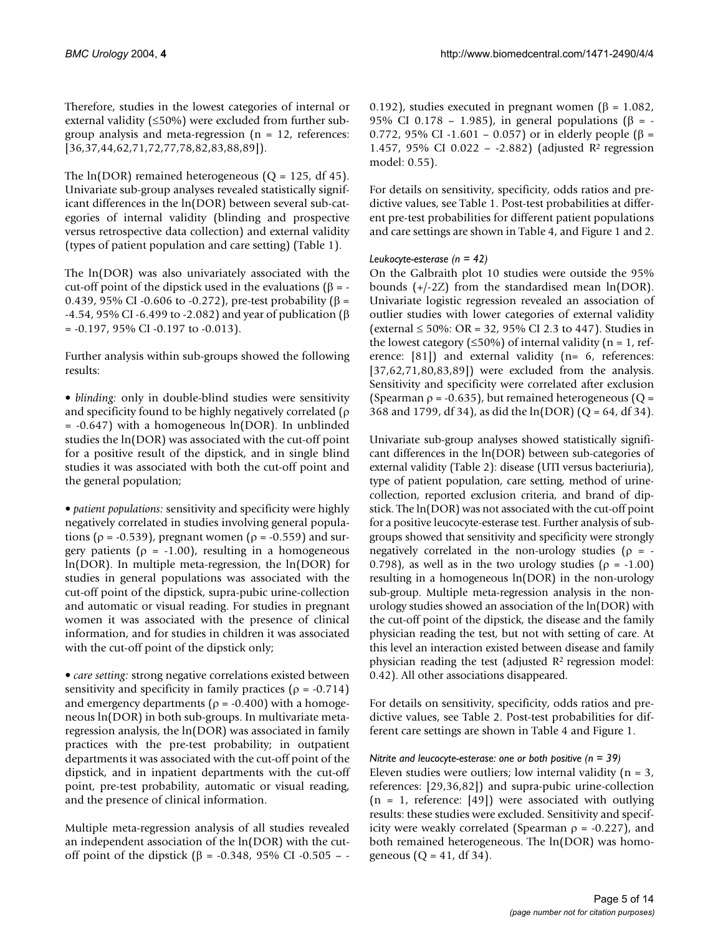Therefore, studies in the lowest categories of internal or external validity (≤50%) were excluded from further subgroup analysis and meta-regression ( $n = 12$ , references: [36,37,44,62,71,72,77,78,82,83,88,89]).

The  $ln(DOR)$  remained heterogeneous ( $Q = 125$ , df 45). Univariate sub-group analyses revealed statistically significant differences in the ln(DOR) between several sub-categories of internal validity (blinding and prospective versus retrospective data collection) and external validity (types of patient population and care setting) (Table 1).

The ln(DOR) was also univariately associated with the cut-off point of the dipstick used in the evaluations (β = - 0.439, 95% CI -0.606 to -0.272), pre-test probability (β = -4.54, 95% CI -6.499 to -2.082) and year of publication (β  $= -0.197, 95\% \text{ CI} -0.197 \text{ to } -0.013$ .

Further analysis within sub-groups showed the following results:

• *blinding:* only in double-blind studies were sensitivity and specificity found to be highly negatively correlated (ρ = -0.647) with a homogeneous ln(DOR). In unblinded studies the ln(DOR) was associated with the cut-off point for a positive result of the dipstick, and in single blind studies it was associated with both the cut-off point and the general population;

• *patient populations:* sensitivity and specificity were highly negatively correlated in studies involving general populations ( $\rho$  = -0.539), pregnant women ( $\rho$  = -0.559) and surgery patients ( $\rho = -1.00$ ), resulting in a homogeneous ln(DOR). In multiple meta-regression, the ln(DOR) for studies in general populations was associated with the cut-off point of the dipstick, supra-pubic urine-collection and automatic or visual reading. For studies in pregnant women it was associated with the presence of clinical information, and for studies in children it was associated with the cut-off point of the dipstick only;

• *care setting:* strong negative correlations existed between sensitivity and specificity in family practices ( $\rho = -0.714$ ) and emergency departments ( $\rho = -0.400$ ) with a homogeneous ln(DOR) in both sub-groups. In multivariate metaregression analysis, the ln(DOR) was associated in family practices with the pre-test probability; in outpatient departments it was associated with the cut-off point of the dipstick, and in inpatient departments with the cut-off point, pre-test probability, automatic or visual reading, and the presence of clinical information.

Multiple meta-regression analysis of all studies revealed an independent association of the ln(DOR) with the cutoff point of the dipstick (β = -0.348, 95% CI -0.505 – -

0.192), studies executed in pregnant women (β = 1.082, 95% CI 0.178 – 1.985), in general populations (β = -0.772, 95% CI -1.601 – 0.057) or in elderly people (β = 1.457, 95% CI 0.022 – -2.882) (adjusted R2 regression model: 0.55).

For details on sensitivity, specificity, odds ratios and predictive values, see Table 1. Post-test probabilities at different pre-test probabilities for different patient populations and care settings are shown in Table [4,](#page-8-0) and Figure 1 and 2.

## *Leukocyte-esterase (n = 42)*

On the Galbraith plot 10 studies were outside the 95% bounds  $(+/-2Z)$  from the standardised mean  $ln(DOR)$ . Univariate logistic regression revealed an association of outlier studies with lower categories of external validity (external ≤ 50%: OR = 32, 95% CI 2.3 to 447). Studies in the lowest category ( $\leq$ 50%) of internal validity (n = 1, reference: [81]) and external validity (n= 6, references: [37,62,71,80,83,89]) were excluded from the analysis. Sensitivity and specificity were correlated after exclusion (Spearman  $\rho$  = -0.635), but remained heterogeneous (Q = 368 and 1799, df 34), as did the ln(DOR) (Q = 64, df 34).

Univariate sub-group analyses showed statistically significant differences in the ln(DOR) between sub-categories of external validity (Table [2\)](#page-7-0): disease (UTI versus bacteriuria), type of patient population, care setting, method of urinecollection, reported exclusion criteria, and brand of dipstick. The ln(DOR) was not associated with the cut-off point for a positive leucocyte-esterase test. Further analysis of subgroups showed that sensitivity and specificity were strongly negatively correlated in the non-urology studies ( $\rho = -$ 0.798), as well as in the two urology studies ( $\rho = -1.00$ ) resulting in a homogeneous ln(DOR) in the non-urology sub-group. Multiple meta-regression analysis in the nonurology studies showed an association of the ln(DOR) with the cut-off point of the dipstick, the disease and the family physician reading the test, but not with setting of care. At this level an interaction existed between disease and family physician reading the test (adjusted R2 regression model: 0.42). All other associations disappeared.

For details on sensitivity, specificity, odds ratios and predictive values, see Table [2](#page-7-0). Post-test probabilities for different care settings are shown in Table [4](#page-8-0) and Figure 1.

*Nitrite and leucocyte-esterase: one or both positive (n = 39)* Eleven studies were outliers; low internal validity  $(n = 3)$ , references: [29,36,82]) and supra-pubic urine-collection  $(n = 1,$  reference: [49]) were associated with outlying results: these studies were excluded. Sensitivity and specificity were weakly correlated (Spearman  $\rho = -0.227$ ), and both remained heterogeneous. The ln(DOR) was homogeneous ( $Q = 41$ , df 34).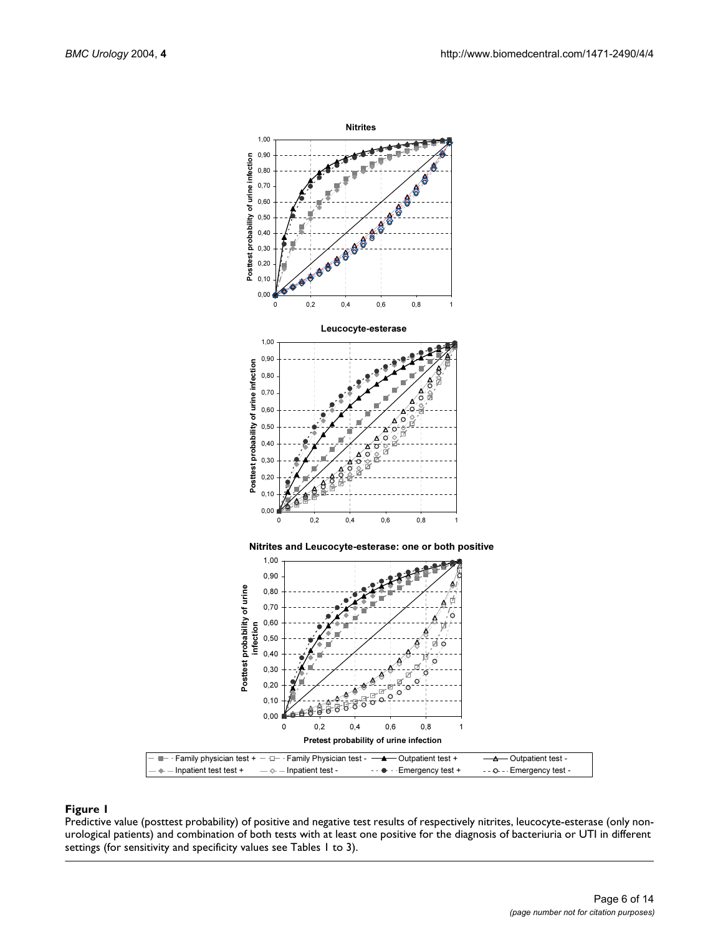

Predictive value (posttest probability) of positive and negative test results of respectively nitrites, leucocyte-esterase (only nonurological patients) and combination of both tests with at least one positive for the diagnosis of bacteriuria or UTI in different settings (for sensitivity and specificity values see Tables 1 to [3](#page-7-1)).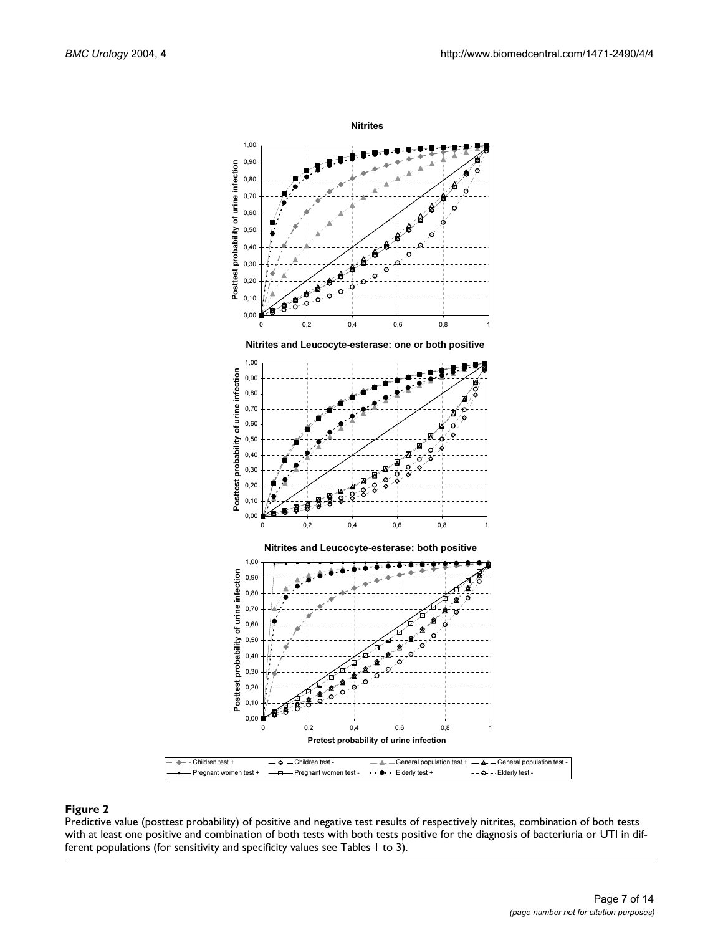

Predictive value (posttest probability) of positive and negative test results of respectively nitrites, combination of both tests with at least one positive and combination of both tests with both tests positive for the diagnosis of bacteriuria or UTI in different populations (for sensitivity and specificity values see Tables 1 to [3](#page-7-1)).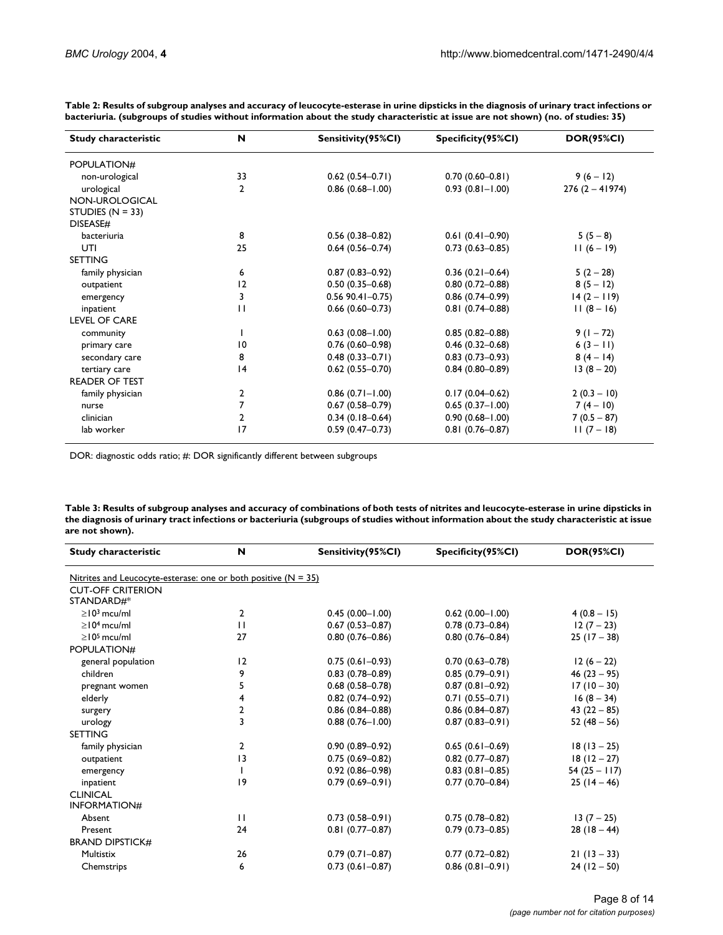| <b>Study characteristic</b> | N              | Sensitivity (95%CI) | Specificity(95%CI)  | <b>DOR(95%CI)</b> |
|-----------------------------|----------------|---------------------|---------------------|-------------------|
| POPULATION#                 |                |                     |                     |                   |
| non-urological              | 33             | $0.62(0.54 - 0.71)$ | $0.70(0.60 - 0.81)$ | $9(6 - 12)$       |
| urological                  | $\overline{2}$ | $0.86(0.68 - 1.00)$ | $0.93(0.81 - 1.00)$ | $276(2 - 41974)$  |
| NON-UROLOGICAL              |                |                     |                     |                   |
| STUDIES ( $N = 33$ )        |                |                     |                     |                   |
| DISEASE#                    |                |                     |                     |                   |
| bacteriuria                 | 8              | $0.56(0.38 - 0.82)$ | $0.61(0.41 - 0.90)$ | $5(5-8)$          |
| UTI                         | 25             | $0.64(0.56 - 0.74)$ | $0.73(0.63 - 0.85)$ | $11(6-19)$        |
| <b>SETTING</b>              |                |                     |                     |                   |
| family physician            | 6              | $0.87(0.83 - 0.92)$ | $0.36(0.21 - 0.64)$ | $5(2-28)$         |
| outpatient                  | 12             | $0.50(0.35 - 0.68)$ | $0.80(0.72 - 0.88)$ | $8(5 - 12)$       |
| emergency                   | 3              | $0.56$ 90.41-0.75)  | $0.86(0.74 - 0.99)$ | $14(2 - 119)$     |
| inpatient                   | $\mathbf{H}$   | $0.66(0.60 - 0.73)$ | $0.81(0.74 - 0.88)$ | $11(8-16)$        |
| <b>LEVEL OF CARE</b>        |                |                     |                     |                   |
| community                   |                | $0.63(0.08 - 1.00)$ | $0.85(0.82 - 0.88)$ | $9(1 - 72)$       |
| primary care                | 10             | $0.76(0.60 - 0.98)$ | $0.46(0.32 - 0.68)$ | $6(3-11)$         |
| secondary care              | 8              | $0.48(0.33 - 0.71)$ | $0.83(0.73 - 0.93)$ | $8(4-14)$         |
| tertiary care               | 4              | $0.62(0.55 - 0.70)$ | $0.84(0.80 - 0.89)$ | $13(8-20)$        |
| <b>READER OF TEST</b>       |                |                     |                     |                   |
| family physician            | 2              | $0.86$ (0.71-1.00)  | $0.17(0.04 - 0.62)$ | $2(0.3 - 10)$     |
| nurse                       | 7              | $0.67(0.58 - 0.79)$ | $0.65(0.37 - 1.00)$ | $7(4-10)$         |
| clinician                   | 2              | $0.34(0.18 - 0.64)$ | $0.90(0.68 - 1.00)$ | $7(0.5 - 87)$     |
| lab worker                  | 17             | $0.59(0.47 - 0.73)$ | $0.81(0.76 - 0.87)$ | $11(7-18)$        |

<span id="page-7-0"></span>**Table 2: Results of subgroup analyses and accuracy of leucocyte-esterase in urine dipsticks in the diagnosis of urinary tract infections or bacteriuria. (subgroups of studies without information about the study characteristic at issue are not shown) (no. of studies: 35)**

DOR: diagnostic odds ratio; #: DOR significantly different between subgroups

<span id="page-7-1"></span>

| Table 3: Results of subgroup analyses and accuracy of combinations of both tests of nitrites and leucocyte-esterase in urine dipsticks in  |
|--------------------------------------------------------------------------------------------------------------------------------------------|
| the diagnosis of urinary tract infections or bacteriuria (subgroups of studies without information about the study characteristic at issue |
| are not shown).                                                                                                                            |

| <b>Study characteristic</b>                                      | N              | Sensitivity (95%Cl) | Specificity(95%Cl)  | <b>DOR(95%CI)</b> |
|------------------------------------------------------------------|----------------|---------------------|---------------------|-------------------|
| Nitrites and Leucocyte-esterase: one or both positive $(N = 35)$ |                |                     |                     |                   |
| <b>CUT-OFF CRITERION</b><br>STANDARD#*                           |                |                     |                     |                   |
| $\geq$ 10 <sup>3</sup> mcu/ml                                    | $\overline{2}$ | $0.45(0.00 - 1.00)$ | $0.62$ (0.00-1.00)  | $4(0.8 - 15)$     |
| $\geq$   0 <sup>4</sup> mcu/ml                                   | $\mathbf{H}$   | $0.67(0.53 - 0.87)$ | $0.78(0.73 - 0.84)$ | $12(7-23)$        |
| $\geq$   0 <sup>5</sup> mcu/ml                                   | 27             | $0.80(0.76 - 0.86)$ | $0.80(0.76 - 0.84)$ | $25(17-38)$       |
| POPULATION#                                                      |                |                     |                     |                   |
| general population                                               | 12             | $0.75(0.61 - 0.93)$ | $0.70(0.63 - 0.78)$ | $12(6 - 22)$      |
| children                                                         | 9              | $0.83(0.78 - 0.89)$ | $0.85(0.79 - 0.91)$ | $46(23-95)$       |
| pregnant women                                                   | 5              | $0.68(0.58 - 0.78)$ | $0.87(0.81 - 0.92)$ | $17(10-30)$       |
| elderly                                                          | 4              | $0.82(0.74 - 0.92)$ | $0.71(0.55 - 0.71)$ | $16(8-34)$        |
| surgery                                                          | $\mathbf{2}$   | $0.86(0.84 - 0.88)$ | $0.86$ (0.84-0.87)  | 43 $(22 - 85)$    |
| urology                                                          | 3              | $0.88(0.76 - 1.00)$ | $0.87(0.83 - 0.91)$ | $52(48-56)$       |
| <b>SETTING</b>                                                   |                |                     |                     |                   |
| family physician                                                 | 2              | $0.90(0.89 - 0.92)$ | $0.65(0.61 - 0.69)$ | $18(13-25)$       |
| outpatient                                                       | 13             | $0.75(0.69 - 0.82)$ | $0.82$ (0.77-0.87)  | $18(12 - 27)$     |
| emergency                                                        | T              | $0.92(0.86 - 0.98)$ | $0.83(0.81 - 0.85)$ | $54(25 - 117)$    |
| inpatient                                                        | 9              | $0.79(0.69 - 0.91)$ | $0.77(0.70-0.84)$   | $25(14-46)$       |
| <b>CLINICAL</b><br>INFORMATION#                                  |                |                     |                     |                   |
| Absent                                                           | $\mathbf{H}$   | $0.73(0.58 - 0.91)$ | $0.75(0.78 - 0.82)$ | $13(7 - 25)$      |
| Present                                                          | 24             | $0.81(0.77 - 0.87)$ | $0.79(0.73 - 0.85)$ | $28(18-44)$       |
| <b>BRAND DIPSTICK#</b>                                           |                |                     |                     |                   |
| Multistix                                                        | 26             | $0.79(0.71 - 0.87)$ | $0.77(0.72 - 0.82)$ | $21(13-33)$       |
| Chemstrips                                                       | 6              | $0.73$ (0.61-0.87)  | $0.86(0.81 - 0.91)$ | $24(12-50)$       |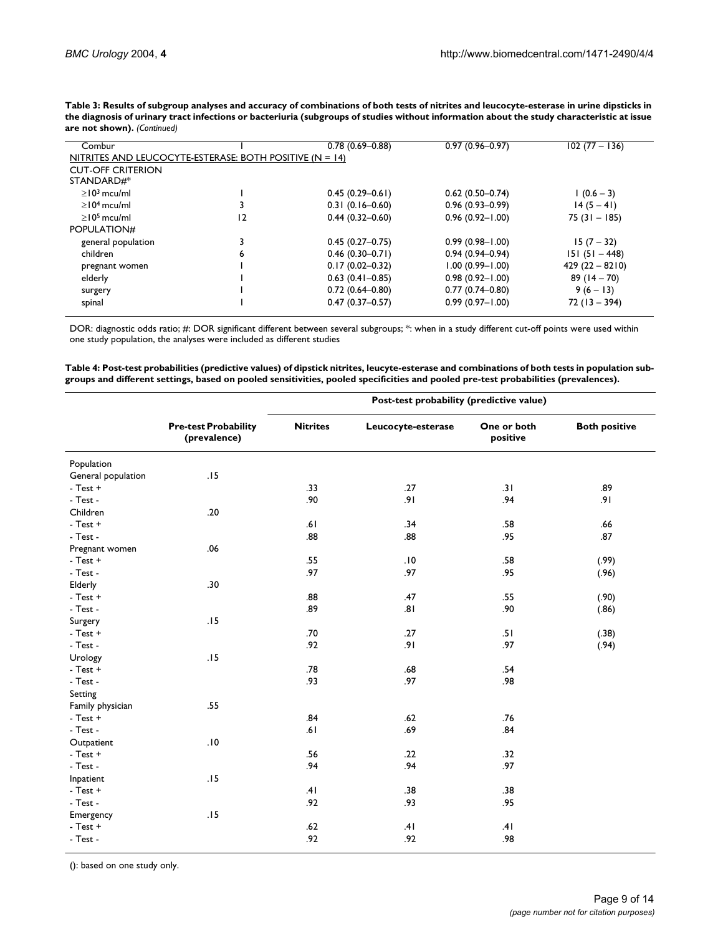| Combur                                                  |   | $0.78(0.69 - 0.88)$ | $0.97(0.96 - 0.97)$ | $102(77 - 136)$  |
|---------------------------------------------------------|---|---------------------|---------------------|------------------|
| NITRITES AND LEUCOCYTE-ESTERASE: BOTH POSITIVE (N = 14) |   |                     |                     |                  |
| <b>CUT-OFF CRITERION</b>                                |   |                     |                     |                  |
| STANDARD#*                                              |   |                     |                     |                  |
| $>103$ mcu/ml                                           |   | $0.45(0.29 - 0.61)$ | $0.62(0.50-0.74)$   | $1(0.6-3)$       |
| $>104$ mcu/ml                                           |   | $0.31(0.16 - 0.60)$ | $0.96(0.93 - 0.99)$ | $14(5 - 41)$     |
| $>105$ mcu/ml                                           | 2 | $0.44(0.32 - 0.60)$ | $0.96(0.92 - 1.00)$ | $75(31 - 185)$   |
| POPULATION#                                             |   |                     |                     |                  |
| general population                                      |   | $0.45(0.27-0.75)$   | $0.99(0.98 - 1.00)$ | $15(7 - 32)$     |
| children                                                | 6 | $0.46(0.30-0.71)$   | $0.94(0.94 - 0.94)$ | $151(51 - 448)$  |
| pregnant women                                          |   | $0.17(0.02 - 0.32)$ | $1.00(0.99 - 1.00)$ | $429(22 - 8210)$ |
| elderly                                                 |   | $0.63(0.41 - 0.85)$ | $0.98(0.92 - 1.00)$ | $89(14-70)$      |
| surgery                                                 |   | $0.72(0.64 - 0.80)$ | $0.77(0.74 - 0.80)$ | $9(6 - 13)$      |
| spinal                                                  |   | $0.47(0.37-0.57)$   | $0.99(0.97 - 1.00)$ | $72(13 - 394)$   |
|                                                         |   |                     |                     |                  |

**Table 3: Results of subgroup analyses and accuracy of combinations of both tests of nitrites and leucocyte-esterase in urine dipsticks in the diagnosis of urinary tract infections or bacteriuria (subgroups of studies without information about the study characteristic at issue are not shown).** *(Continued)*

DOR: diagnostic odds ratio; #: DOR significant different between several subgroups; \*: when in a study different cut-off points were used within one study population, the analyses were included as different studies

<span id="page-8-0"></span>**Table 4: Post-test probabilities (predictive values) of dipstick nitrites, leucyte-esterase and combinations of both tests in population subgroups and different settings, based on pooled sensitivities, pooled specificities and pooled pre-test probabilities (prevalences).**

|                    | <b>Pre-test Probability</b><br>(prevalence) | Post-test probability (predictive value) |                    |                         |                      |
|--------------------|---------------------------------------------|------------------------------------------|--------------------|-------------------------|----------------------|
|                    |                                             | <b>Nitrites</b>                          | Leucocyte-esterase | One or both<br>positive | <b>Both positive</b> |
| Population         |                                             |                                          |                    |                         |                      |
| General population | .15                                         |                                          |                    |                         |                      |
| $-$ Test $+$       |                                             | .33                                      | .27                | .31                     | .89                  |
| $-$ Test -         |                                             | .90                                      | .91                | .94                     | .91                  |
| Children           | .20                                         |                                          |                    |                         |                      |
| $-$ Test $+$       |                                             | .61                                      | .34                | .58                     | .66                  |
| $-$ Test -         |                                             | .88                                      | .88                | .95                     | .87                  |
| Pregnant women     | .06                                         |                                          |                    |                         |                      |
| $-$ Test $+$       |                                             | .55                                      | .10                | .58                     | (.99)                |
| $-$ Test -         |                                             | .97                                      | .97                | .95                     | (.96)                |
| Elderly            | .30                                         |                                          |                    |                         |                      |
| $-$ Test $+$       |                                             | .88                                      | .47                | .55                     | (.90)                |
| - Test -           |                                             | .89                                      | .81                | .90                     | (.86)                |
| Surgery            | .15                                         |                                          |                    |                         |                      |
| $-$ Test $+$       |                                             | .70                                      | .27                | .51                     | (.38)                |
| - Test -           |                                             | .92                                      | .91                | .97                     | (.94)                |
| Urology            | .15                                         |                                          |                    |                         |                      |
| $-$ Test $+$       |                                             | .78                                      | .68                | .54                     |                      |
| $-$ Test -         |                                             | .93                                      | .97                | .98                     |                      |
| Setting            |                                             |                                          |                    |                         |                      |
| Family physician   | .55                                         |                                          |                    |                         |                      |
| $-$ Test $+$       |                                             | .84                                      | .62                | .76                     |                      |
| - Test -           |                                             | .61                                      | .69                | .84                     |                      |
| Outpatient         | .10                                         |                                          |                    |                         |                      |
| $-$ Test $+$       |                                             | .56                                      | .22                | .32                     |                      |
| - Test -           |                                             | .94                                      | .94                | .97                     |                      |
| Inpatient          | .15                                         |                                          |                    |                         |                      |
| $-$ Test $+$       |                                             | .41                                      | .38                | .38                     |                      |
| - Test -           |                                             | .92                                      | .93                | .95                     |                      |
| Emergency          | .15                                         |                                          |                    |                         |                      |
| $-$ Test $+$       |                                             | .62                                      | .41                | .41                     |                      |
| $-$ Test -         |                                             | .92                                      | .92                | .98                     |                      |
|                    |                                             |                                          |                    |                         |                      |

(): based on one study only.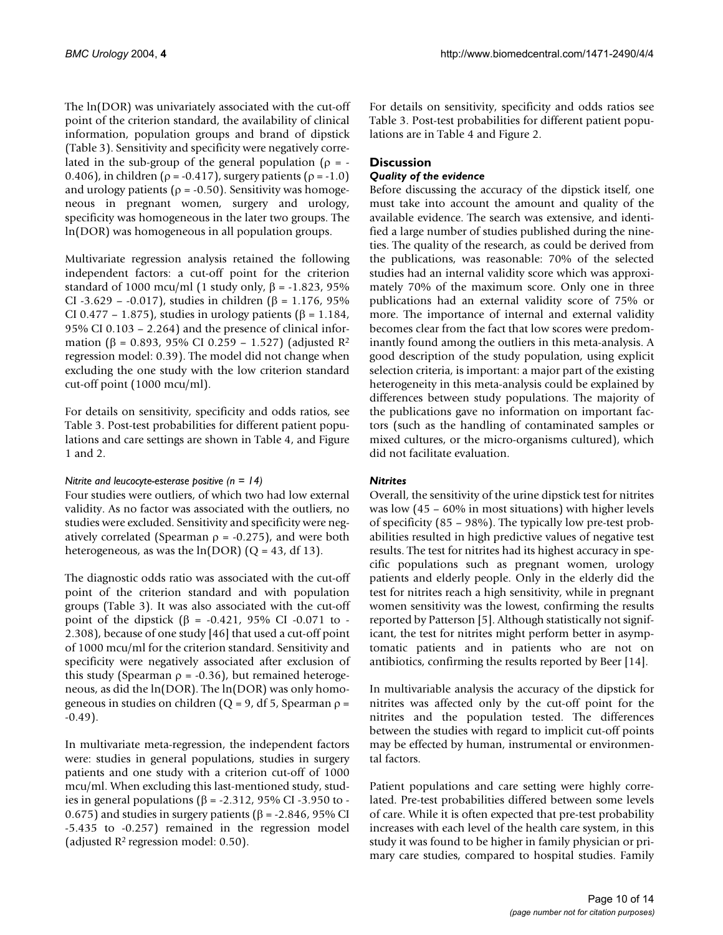The ln(DOR) was univariately associated with the cut-off point of the criterion standard, the availability of clinical information, population groups and brand of dipstick (Table [3\)](#page-7-1). Sensitivity and specificity were negatively correlated in the sub-group of the general population ( $\rho = -$ 0.406), in children ( $\rho$  = -0.417), surgery patients ( $\rho$  = -1.0) and urology patients ( $\rho = -0.50$ ). Sensitivity was homogeneous in pregnant women, surgery and urology, specificity was homogeneous in the later two groups. The ln(DOR) was homogeneous in all population groups.

Multivariate regression analysis retained the following independent factors: a cut-off point for the criterion standard of 1000 mcu/ml (1 study only,  $β = -1.823$ , 95% CI -3.629 – -0.017), studies in children (β = 1.176, 95% CI 0.477 – 1.875), studies in urology patients ( $\beta$  = 1.184, 95% CI 0.103 – 2.264) and the presence of clinical information (β = 0.893, 95% CI 0.259 – 1.527) (adjusted R<sup>2</sup> regression model: 0.39). The model did not change when excluding the one study with the low criterion standard cut-off point (1000 mcu/ml).

For details on sensitivity, specificity and odds ratios, see Table [3](#page-7-1). Post-test probabilities for different patient populations and care settings are shown in Table [4](#page-8-0), and Figure 1 and 2.

## *Nitrite and leucocyte-esterase positive (n = 14)*

Four studies were outliers, of which two had low external validity. As no factor was associated with the outliers, no studies were excluded. Sensitivity and specificity were negatively correlated (Spearman  $\rho = -0.275$ ), and were both heterogeneous, as was the  $ln(DOR)$  (Q = 43, df 13).

The diagnostic odds ratio was associated with the cut-off point of the criterion standard and with population groups (Table [3](#page-7-1)). It was also associated with the cut-off point of the dipstick (β = -0.421, 95% CI -0.071 to -2.308), because of one study [46] that used a cut-off point of 1000 mcu/ml for the criterion standard. Sensitivity and specificity were negatively associated after exclusion of this study (Spearman  $ρ = -0.36$ ), but remained heterogeneous, as did the ln(DOR). The ln(DOR) was only homogeneous in studies on children ( $Q = 9$ , df 5, Spearman  $\rho =$ -0.49).

In multivariate meta-regression, the independent factors were: studies in general populations, studies in surgery patients and one study with a criterion cut-off of 1000 mcu/ml. When excluding this last-mentioned study, studies in general populations ( $β = -2.312$ , 95% CI -3.950 to -0.675) and studies in surgery patients (β = -2.846, 95% CI -5.435 to -0.257) remained in the regression model (adjusted R2 regression model: 0.50).

For details on sensitivity, specificity and odds ratios see Table [3.](#page-7-1) Post-test probabilities for different patient populations are in Table [4](#page-8-0) and Figure 2.

## **Discussion**

## *Quality of the evidence*

Before discussing the accuracy of the dipstick itself, one must take into account the amount and quality of the available evidence. The search was extensive, and identified a large number of studies published during the nineties. The quality of the research, as could be derived from the publications, was reasonable: 70% of the selected studies had an internal validity score which was approximately 70% of the maximum score. Only one in three publications had an external validity score of 75% or more. The importance of internal and external validity becomes clear from the fact that low scores were predominantly found among the outliers in this meta-analysis. A good description of the study population, using explicit selection criteria, is important: a major part of the existing heterogeneity in this meta-analysis could be explained by differences between study populations. The majority of the publications gave no information on important factors (such as the handling of contaminated samples or mixed cultures, or the micro-organisms cultured), which did not facilitate evaluation.

## *Nitrites*

Overall, the sensitivity of the urine dipstick test for nitrites was low (45 – 60% in most situations) with higher levels of specificity (85 – 98%). The typically low pre-test probabilities resulted in high predictive values of negative test results. The test for nitrites had its highest accuracy in specific populations such as pregnant women, urology patients and elderly people. Only in the elderly did the test for nitrites reach a high sensitivity, while in pregnant women sensitivity was the lowest, confirming the results reported by Patterson [5]. Although statistically not significant, the test for nitrites might perform better in asymptomatic patients and in patients who are not on antibiotics, confirming the results reported by Beer [14].

In multivariable analysis the accuracy of the dipstick for nitrites was affected only by the cut-off point for the nitrites and the population tested. The differences between the studies with regard to implicit cut-off points may be effected by human, instrumental or environmental factors.

Patient populations and care setting were highly correlated. Pre-test probabilities differed between some levels of care. While it is often expected that pre-test probability increases with each level of the health care system, in this study it was found to be higher in family physician or primary care studies, compared to hospital studies. Family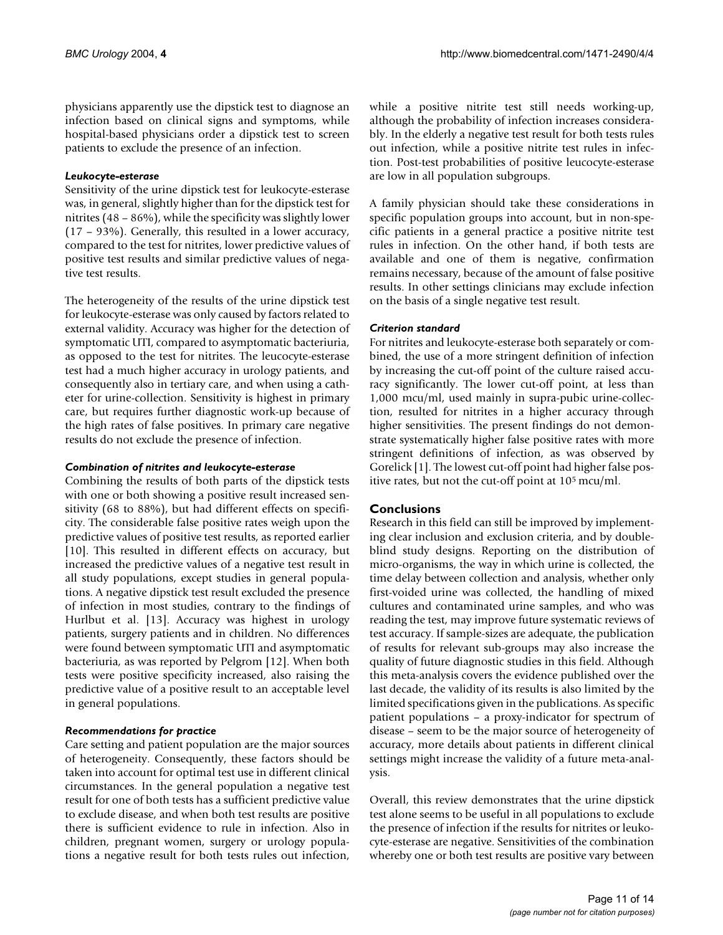physicians apparently use the dipstick test to diagnose an infection based on clinical signs and symptoms, while hospital-based physicians order a dipstick test to screen patients to exclude the presence of an infection.

## *Leukocyte-esterase*

Sensitivity of the urine dipstick test for leukocyte-esterase was, in general, slightly higher than for the dipstick test for nitrites (48 – 86%), while the specificity was slightly lower (17 – 93%). Generally, this resulted in a lower accuracy, compared to the test for nitrites, lower predictive values of positive test results and similar predictive values of negative test results.

The heterogeneity of the results of the urine dipstick test for leukocyte-esterase was only caused by factors related to external validity. Accuracy was higher for the detection of symptomatic UTI, compared to asymptomatic bacteriuria, as opposed to the test for nitrites. The leucocyte-esterase test had a much higher accuracy in urology patients, and consequently also in tertiary care, and when using a catheter for urine-collection. Sensitivity is highest in primary care, but requires further diagnostic work-up because of the high rates of false positives. In primary care negative results do not exclude the presence of infection.

## *Combination of nitrites and leukocyte-esterase*

Combining the results of both parts of the dipstick tests with one or both showing a positive result increased sensitivity (68 to 88%), but had different effects on specificity. The considerable false positive rates weigh upon the predictive values of positive test results, as reported earlier [10]. This resulted in different effects on accuracy, but increased the predictive values of a negative test result in all study populations, except studies in general populations. A negative dipstick test result excluded the presence of infection in most studies, contrary to the findings of Hurlbut et al. [13]. Accuracy was highest in urology patients, surgery patients and in children. No differences were found between symptomatic UTI and asymptomatic bacteriuria, as was reported by Pelgrom [12]. When both tests were positive specificity increased, also raising the predictive value of a positive result to an acceptable level in general populations.

## *Recommendations for practice*

Care setting and patient population are the major sources of heterogeneity. Consequently, these factors should be taken into account for optimal test use in different clinical circumstances. In the general population a negative test result for one of both tests has a sufficient predictive value to exclude disease, and when both test results are positive there is sufficient evidence to rule in infection. Also in children, pregnant women, surgery or urology populations a negative result for both tests rules out infection,

while a positive nitrite test still needs working-up, although the probability of infection increases considerably. In the elderly a negative test result for both tests rules out infection, while a positive nitrite test rules in infection. Post-test probabilities of positive leucocyte-esterase are low in all population subgroups.

A family physician should take these considerations in specific population groups into account, but in non-specific patients in a general practice a positive nitrite test rules in infection. On the other hand, if both tests are available and one of them is negative, confirmation remains necessary, because of the amount of false positive results. In other settings clinicians may exclude infection on the basis of a single negative test result.

## *Criterion standard*

For nitrites and leukocyte-esterase both separately or combined, the use of a more stringent definition of infection by increasing the cut-off point of the culture raised accuracy significantly. The lower cut-off point, at less than 1,000 mcu/ml, used mainly in supra-pubic urine-collection, resulted for nitrites in a higher accuracy through higher sensitivities. The present findings do not demonstrate systematically higher false positive rates with more stringent definitions of infection, as was observed by Gorelick [1]. The lowest cut-off point had higher false positive rates, but not the cut-off point at 105 mcu/ml.

## **Conclusions**

Research in this field can still be improved by implementing clear inclusion and exclusion criteria, and by doubleblind study designs. Reporting on the distribution of micro-organisms, the way in which urine is collected, the time delay between collection and analysis, whether only first-voided urine was collected, the handling of mixed cultures and contaminated urine samples, and who was reading the test, may improve future systematic reviews of test accuracy. If sample-sizes are adequate, the publication of results for relevant sub-groups may also increase the quality of future diagnostic studies in this field. Although this meta-analysis covers the evidence published over the last decade, the validity of its results is also limited by the limited specifications given in the publications. As specific patient populations – a proxy-indicator for spectrum of disease – seem to be the major source of heterogeneity of accuracy, more details about patients in different clinical settings might increase the validity of a future meta-analysis.

Overall, this review demonstrates that the urine dipstick test alone seems to be useful in all populations to exclude the presence of infection if the results for nitrites or leukocyte-esterase are negative. Sensitivities of the combination whereby one or both test results are positive vary between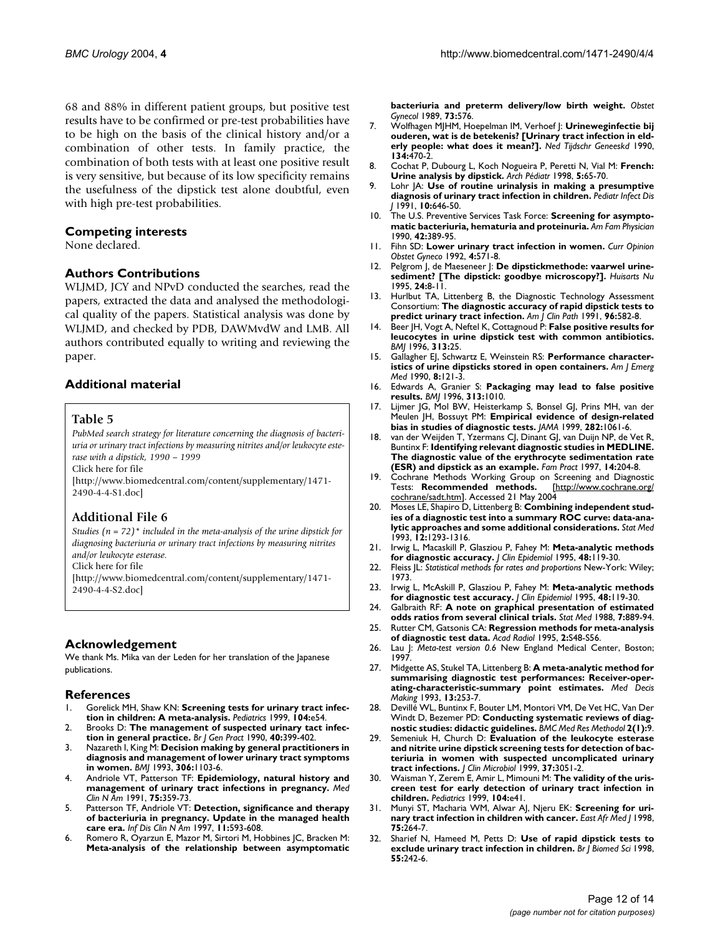68 and 88% in different patient groups, but positive test results have to be confirmed or pre-test probabilities have to be high on the basis of the clinical history and/or a combination of other tests. In family practice, the combination of both tests with at least one positive result is very sensitive, but because of its low specificity remains the usefulness of the dipstick test alone doubtful, even with high pre-test probabilities.

## **Competing interests**

None declared.

## **Authors Contributions**

WLJMD, JCY and NPvD conducted the searches, read the papers, extracted the data and analysed the methodological quality of the papers. Statistical analysis was done by WLJMD, and checked by PDB, DAWMvdW and LMB. All authors contributed equally to writing and reviewing the paper.

## **Additional material**

## **Table 5**

*PubMed search strategy for literature concerning the diagnosis of bacteriuria or urinary tract infections by measuring nitrites and/or leukocyte esterase with a dipstick, 1990 – 1999*

Click here for file

[\[http://www.biomedcentral.com/content/supplementary/1471-](http://www.biomedcentral.com/content/supplementary/1471-2490-4-4-S1.doc) 2490-4-4-S1.doc]

## **Additional File 6**

*Studies (n = 72)\* included in the meta-analysis of the urine dipstick for diagnosing bacteriuria or urinary tract infections by measuring nitrites and/or leukocyte esterase.*

Click here for file

[\[http://www.biomedcentral.com/content/supplementary/1471-](http://www.biomedcentral.com/content/supplementary/1471-2490-4-4-S2.doc) 2490-4-4-S2.doc]

## **Acknowledgement**

We thank Ms. Mika van der Leden for her translation of the Japanese publications.

## **References**

- 1. Gorelick MH, Shaw KN: **[Screening tests for urinary tract infec](http://www.ncbi.nlm.nih.gov/entrez/query.fcgi?cmd=Retrieve&db=PubMed&dopt=Abstract&list_uids=10545580)[tion in children: A meta-analysis.](http://www.ncbi.nlm.nih.gov/entrez/query.fcgi?cmd=Retrieve&db=PubMed&dopt=Abstract&list_uids=10545580)** *Pediatrics* 1999, **104:**e54.
- 2. Brooks D: **[The management of suspected urinary tact infec](http://www.ncbi.nlm.nih.gov/entrez/query.fcgi?cmd=Retrieve&db=PubMed&dopt=Abstract&list_uids=2132082)[tion in general practice.](http://www.ncbi.nlm.nih.gov/entrez/query.fcgi?cmd=Retrieve&db=PubMed&dopt=Abstract&list_uids=2132082)** *Br J Gen Pract* 1990, **40:**399-402.
- 3. Nazareth I, King M: **[Decision making by general practitioners in](http://www.ncbi.nlm.nih.gov/entrez/query.fcgi?cmd=Retrieve&db=PubMed&dopt=Abstract&list_uids=8495157) [diagnosis and management of lower urinary tract symptoms](http://www.ncbi.nlm.nih.gov/entrez/query.fcgi?cmd=Retrieve&db=PubMed&dopt=Abstract&list_uids=8495157) [in women.](http://www.ncbi.nlm.nih.gov/entrez/query.fcgi?cmd=Retrieve&db=PubMed&dopt=Abstract&list_uids=8495157)** *BMJ* 1993, **306:**1103-6.
- 4. Andriole VT, Patterson TF: **[Epidemiology, natural history and](http://www.ncbi.nlm.nih.gov/entrez/query.fcgi?cmd=Retrieve&db=PubMed&dopt=Abstract&list_uids=1996039) [management of urinary tract infections in pregnancy.](http://www.ncbi.nlm.nih.gov/entrez/query.fcgi?cmd=Retrieve&db=PubMed&dopt=Abstract&list_uids=1996039)** *Med Clin N Am* 1991, **75:**359-73.
- 5. Patterson TF, Andriole VT: **Detection, significance and therapy of bacteriuria in pregnancy. Update in the managed health care era.** *Inf Dis Clin N Am* 1997, **11:**593-608.
- 6. Romero R, Oyarzun E, Mazor M, Sirtori M, Hobbines JC, Bracken M: **[Meta-analysis of the relationship between asymptomatic](http://www.ncbi.nlm.nih.gov/entrez/query.fcgi?cmd=Retrieve&db=PubMed&dopt=Abstract&list_uids=2927852)**

**[bacteriuria and preterm delivery/low birth weight.](http://www.ncbi.nlm.nih.gov/entrez/query.fcgi?cmd=Retrieve&db=PubMed&dopt=Abstract&list_uids=2927852)** *Obstet Gynecol* 1989, **73:**576.

- 7. Wolfhagen MJHM, Hoepelman IM, Verhoef J: **[Urineweginfectie bij](http://www.ncbi.nlm.nih.gov/entrez/query.fcgi?cmd=Retrieve&db=PubMed&dopt=Abstract&list_uids=2179736) [ouderen, wat is de betekenis? \[Urinary tract infection in eld](http://www.ncbi.nlm.nih.gov/entrez/query.fcgi?cmd=Retrieve&db=PubMed&dopt=Abstract&list_uids=2179736)[erly people: what does it mean?\].](http://www.ncbi.nlm.nih.gov/entrez/query.fcgi?cmd=Retrieve&db=PubMed&dopt=Abstract&list_uids=2179736)** *Ned Tijdschr Geneeskd* 1990, **134:**470-2.
- 8. Cochat P, Dubourg L, Koch Nogueira P, Peretti N, Vial M: **[French:](http://www.ncbi.nlm.nih.gov/entrez/query.fcgi?cmd=Retrieve&db=PubMed&dopt=Abstract&list_uids=10.1016/S0929-693X(97)83470-7) [Urine analysis by dipstick.](http://www.ncbi.nlm.nih.gov/entrez/query.fcgi?cmd=Retrieve&db=PubMed&dopt=Abstract&list_uids=10.1016/S0929-693X(97)83470-7)** *Arch Pédiatr* 1998, **5:**65-70.
- 9. Lohr JA: **[Use of routine urinalysis in making a presumptive](http://www.ncbi.nlm.nih.gov/entrez/query.fcgi?cmd=Retrieve&db=PubMed&dopt=Abstract&list_uids=1923675) [diagnosis of urinary tract infection in children.](http://www.ncbi.nlm.nih.gov/entrez/query.fcgi?cmd=Retrieve&db=PubMed&dopt=Abstract&list_uids=1923675)** *Pediatr Infect Dis J* 1991, **10:**646-50.
- 10. The U.S. Preventive Services Task Force: **[Screening for asympto](http://www.ncbi.nlm.nih.gov/entrez/query.fcgi?cmd=Retrieve&db=PubMed&dopt=Abstract&list_uids=2200247)[matic bacteriuria, hematuria and proteinuria.](http://www.ncbi.nlm.nih.gov/entrez/query.fcgi?cmd=Retrieve&db=PubMed&dopt=Abstract&list_uids=2200247)** *Am Fam Physician* 1990, **42:**389-95.
- 11. Fihn SD: **Lower urinary tract infection in women.** *Curr Opinion Obstet Gyneco* 1992, **4:**571-8.
- 12. Pelgrom J, de Maeseneer J: **De dipstickmethode: vaarwel urinesediment? [The dipstick: goodbye microscopy?].** *Huisarts Nu* 1995, **24:**8-11.
- 13. Hurlbut TA, Littenberg B, the Diagnostic Technology Assessment Consortium: **[The diagnostic accuracy of rapid dipstick tests to](http://www.ncbi.nlm.nih.gov/entrez/query.fcgi?cmd=Retrieve&db=PubMed&dopt=Abstract&list_uids=1951183) [predict urinary tract infection.](http://www.ncbi.nlm.nih.gov/entrez/query.fcgi?cmd=Retrieve&db=PubMed&dopt=Abstract&list_uids=1951183)** *Am J Clin Path* 1991, **96:**582-8.
- 14. Beer JH, Vogt A, Neftel K, Cottagnoud P: **[False positive results for](http://www.ncbi.nlm.nih.gov/entrez/query.fcgi?cmd=Retrieve&db=PubMed&dopt=Abstract&list_uids=8664766) [leucocytes in urine dipstick test with common antibiotics.](http://www.ncbi.nlm.nih.gov/entrez/query.fcgi?cmd=Retrieve&db=PubMed&dopt=Abstract&list_uids=8664766)** *BMJ* 1996, **313:**25.
- 15. Gallagher EJ, Schwartz E, Weinstein RS: **[Performance character](http://www.ncbi.nlm.nih.gov/entrez/query.fcgi?cmd=Retrieve&db=PubMed&dopt=Abstract&list_uids=10.1016/0735-6757(90)90197-8)[istics of urine dipsticks stored in open containers](http://www.ncbi.nlm.nih.gov/entrez/query.fcgi?cmd=Retrieve&db=PubMed&dopt=Abstract&list_uids=10.1016/0735-6757(90)90197-8)[.](http://www.ncbi.nlm.nih.gov/entrez/query.fcgi?cmd=Retrieve&db=PubMed&dopt=Abstract&list_uids=2302279)** *Am J Emerg Med* 1990, **8:**121-3.
- 16. Edwards A, Granier S: **[Packaging may lead to false positive](http://www.ncbi.nlm.nih.gov/entrez/query.fcgi?cmd=Retrieve&db=PubMed&dopt=Abstract&list_uids=8892446) [results.](http://www.ncbi.nlm.nih.gov/entrez/query.fcgi?cmd=Retrieve&db=PubMed&dopt=Abstract&list_uids=8892446)** *BMJ* 1996, **313:**1010.
- 17. Lijmer JG, Mol BW, Heisterkamp S, Bonsel GJ, Prins MH, van der Meulen JH, Bossuyt PM: **[Empirical evidence of design-related](http://www.ncbi.nlm.nih.gov/entrez/query.fcgi?cmd=Retrieve&db=PubMed&dopt=Abstract&list_uids=10.1001/jama.282.11.1061) [bias in studies of diagnostic tests](http://www.ncbi.nlm.nih.gov/entrez/query.fcgi?cmd=Retrieve&db=PubMed&dopt=Abstract&list_uids=10.1001/jama.282.11.1061)[.](http://www.ncbi.nlm.nih.gov/entrez/query.fcgi?cmd=Retrieve&db=PubMed&dopt=Abstract&list_uids=10493205)** *JAMA* 1999, **282:**1061-6.
- 18. van der Weijden T, Yzermans CJ, Dinant GJ, van Duijn NP, de Vet R, Buntinx F: **[Identifying relevant diagnostic studies in MEDLINE.](http://www.ncbi.nlm.nih.gov/entrez/query.fcgi?cmd=Retrieve&db=PubMed&dopt=Abstract&list_uids=10.1093/fampra/14.3.204) [The diagnostic value of the erythrocyte sedimentation rate](http://www.ncbi.nlm.nih.gov/entrez/query.fcgi?cmd=Retrieve&db=PubMed&dopt=Abstract&list_uids=10.1093/fampra/14.3.204) [\(ESR\) and dipstick as an example](http://www.ncbi.nlm.nih.gov/entrez/query.fcgi?cmd=Retrieve&db=PubMed&dopt=Abstract&list_uids=10.1093/fampra/14.3.204)[.](http://www.ncbi.nlm.nih.gov/entrez/query.fcgi?cmd=Retrieve&db=PubMed&dopt=Abstract&list_uids=9201493)** *Fam Pract* 1997, **14:**204-8.
- 19. Cochrane Methods Working Group on Screening and Diagnostic Tests: Recommended methods. [http://www.cochrane.org/ Tests: **Recommended methods.** [cochrane/sadt.htm\]](http://www.cochrane.org/cochrane/sadt.htm). Accessed 21 May 2004
- 20. Moses LE, Shapiro D, Littenberg B: **[Combining independent stud](http://www.ncbi.nlm.nih.gov/entrez/query.fcgi?cmd=Retrieve&db=PubMed&dopt=Abstract&list_uids=8210827)[ies of a diagnostic test into a summary ROC curve: data-ana](http://www.ncbi.nlm.nih.gov/entrez/query.fcgi?cmd=Retrieve&db=PubMed&dopt=Abstract&list_uids=8210827)[lytic approaches and some additional considerations.](http://www.ncbi.nlm.nih.gov/entrez/query.fcgi?cmd=Retrieve&db=PubMed&dopt=Abstract&list_uids=8210827)** *Stat Med* 1993, **12:**1293-1316.
- 21. Irwig L, Macaskill P, Glasziou P, Fahey M: **[Meta-analytic methods](http://www.ncbi.nlm.nih.gov/entrez/query.fcgi?cmd=Retrieve&db=PubMed&dopt=Abstract&list_uids=10.1016/0895-4356(94)00099-C) [for diagnostic accuracy](http://www.ncbi.nlm.nih.gov/entrez/query.fcgi?cmd=Retrieve&db=PubMed&dopt=Abstract&list_uids=10.1016/0895-4356(94)00099-C)[.](http://www.ncbi.nlm.nih.gov/entrez/query.fcgi?cmd=Retrieve&db=PubMed&dopt=Abstract&list_uids=7853038)** *J Clin Epidemiol* 1995, **48:**119-30.
- 22. Fleiss JL: *Statistical methods for rates and proportions* New-York: Wiley; 1973.
- 23. Irwig L, McAskill P, Glasziou P, Fahey M: **[Meta-analytic methods](http://www.ncbi.nlm.nih.gov/entrez/query.fcgi?cmd=Retrieve&db=PubMed&dopt=Abstract&list_uids=10.1016/0895-4356(94)00099-C) [for diagnostic test accuracy](http://www.ncbi.nlm.nih.gov/entrez/query.fcgi?cmd=Retrieve&db=PubMed&dopt=Abstract&list_uids=10.1016/0895-4356(94)00099-C)[.](http://www.ncbi.nlm.nih.gov/entrez/query.fcgi?cmd=Retrieve&db=PubMed&dopt=Abstract&list_uids=7853038)** *J Clin Epidemiol* 1995, **48:**119-30.
- 24. Galbraith RF: **[A note on graphical presentation of estimated](http://www.ncbi.nlm.nih.gov/entrez/query.fcgi?cmd=Retrieve&db=PubMed&dopt=Abstract&list_uids=3413368) [odds ratios from several clinical trials.](http://www.ncbi.nlm.nih.gov/entrez/query.fcgi?cmd=Retrieve&db=PubMed&dopt=Abstract&list_uids=3413368)** *Stat Med* 1988, **7:**889-94.
- 25. Rutter CM, Gatsonis CA: **[Regression methods for meta-analysis](http://www.ncbi.nlm.nih.gov/entrez/query.fcgi?cmd=Retrieve&db=PubMed&dopt=Abstract&list_uids=9419705) [of diagnostic test data.](http://www.ncbi.nlm.nih.gov/entrez/query.fcgi?cmd=Retrieve&db=PubMed&dopt=Abstract&list_uids=9419705)** *Acad Radiol* 1995, **2:**S48-S56.
- 26. Lau J: *Meta-test version 0.6* New England Medical Center, Boston; 1997.
- 27. Midgette AS, Stukel TA, Littenberg B: **[A meta-analytic method for](http://www.ncbi.nlm.nih.gov/entrez/query.fcgi?cmd=Retrieve&db=PubMed&dopt=Abstract&list_uids=8412556) [summarising diagnostic test performances: Receiver-oper](http://www.ncbi.nlm.nih.gov/entrez/query.fcgi?cmd=Retrieve&db=PubMed&dopt=Abstract&list_uids=8412556)[ating-characteristic-summary point estimates.](http://www.ncbi.nlm.nih.gov/entrez/query.fcgi?cmd=Retrieve&db=PubMed&dopt=Abstract&list_uids=8412556)** *Med Decis Making* 1993, **13:**253-7.
- 28. Devillé WL, Buntinx F, Bouter LM, Montori VM, De Vet HC, Van Der Windt D, Bezemer PD: **Conducting systematic reviews of diagnostic studies: didactic guidelines.** *BMC Med Res Methodol* **2(1):**9.
- 29. Semeniuk H, Church D: **[Evaluation of the leukocyte esterase](http://www.ncbi.nlm.nih.gov/entrez/query.fcgi?cmd=Retrieve&db=PubMed&dopt=Abstract&list_uids=10449505) [and nitrite urine dipstick screening tests for detection of bac](http://www.ncbi.nlm.nih.gov/entrez/query.fcgi?cmd=Retrieve&db=PubMed&dopt=Abstract&list_uids=10449505)teriuria in women with suspected uncomplicated urinary [tract infections.](http://www.ncbi.nlm.nih.gov/entrez/query.fcgi?cmd=Retrieve&db=PubMed&dopt=Abstract&list_uids=10449505)** *J Clin Microbiol* 1999, **37:**3051-2.
- 30. Waisman Y, Zerem E, Amir L, Mimouni M: **[The validity of the uris](http://www.ncbi.nlm.nih.gov/entrez/query.fcgi?cmd=Retrieve&db=PubMed&dopt=Abstract&list_uids=10506266)[creen test for early detection of urinary tract infection in](http://www.ncbi.nlm.nih.gov/entrez/query.fcgi?cmd=Retrieve&db=PubMed&dopt=Abstract&list_uids=10506266) [children.](http://www.ncbi.nlm.nih.gov/entrez/query.fcgi?cmd=Retrieve&db=PubMed&dopt=Abstract&list_uids=10506266)** *Pediatrics* 1999, **104:**e41.
- 31. Munyi ST, Macharia WM, Alwar AJ, Njeru EK: **[Screening for uri](http://www.ncbi.nlm.nih.gov/entrez/query.fcgi?cmd=Retrieve&db=PubMed&dopt=Abstract&list_uids=9746994)[nary tract infection in children with cancer.](http://www.ncbi.nlm.nih.gov/entrez/query.fcgi?cmd=Retrieve&db=PubMed&dopt=Abstract&list_uids=9746994)** *East Afr Med J* 1998, **75:**264-7.
- 32. Sharief N, Hameed M, Petts D: **[Use of rapid dipstick tests to](http://www.ncbi.nlm.nih.gov/entrez/query.fcgi?cmd=Retrieve&db=PubMed&dopt=Abstract&list_uids=10436538) [exclude urinary tract infection in children.](http://www.ncbi.nlm.nih.gov/entrez/query.fcgi?cmd=Retrieve&db=PubMed&dopt=Abstract&list_uids=10436538)** *Br J Biomed Sci* 1998, **55:**242-6.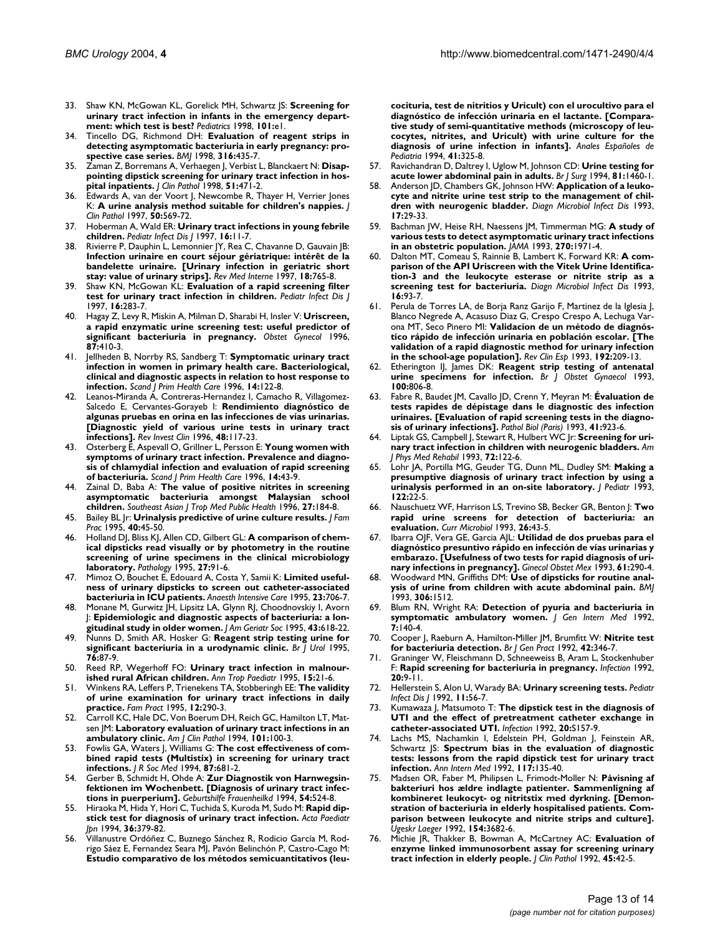- 33. Shaw KN, McGowan KL, Gorelick MH, Schwartz JS: **[Screening for](http://www.ncbi.nlm.nih.gov/entrez/query.fcgi?cmd=Retrieve&db=PubMed&dopt=Abstract&list_uids=9606243) [urinary tract infection in infants in the emergency depart](http://www.ncbi.nlm.nih.gov/entrez/query.fcgi?cmd=Retrieve&db=PubMed&dopt=Abstract&list_uids=9606243)[ment: which test is best?](http://www.ncbi.nlm.nih.gov/entrez/query.fcgi?cmd=Retrieve&db=PubMed&dopt=Abstract&list_uids=9606243)** *Pediatrics* 1998, **101:**e1.
- 34. Tincello DG, Richmond DH: **[Evaluation of reagent strips in](http://www.ncbi.nlm.nih.gov/entrez/query.fcgi?cmd=Retrieve&db=PubMed&dopt=Abstract&list_uids=9492667) [detecting asymptomatic bacteriuria in early pregnancy: pro](http://www.ncbi.nlm.nih.gov/entrez/query.fcgi?cmd=Retrieve&db=PubMed&dopt=Abstract&list_uids=9492667)[spective case series.](http://www.ncbi.nlm.nih.gov/entrez/query.fcgi?cmd=Retrieve&db=PubMed&dopt=Abstract&list_uids=9492667)** *BMJ* 1998, **316:**435-7.
- 35. Zaman Z, Borremans A, Verhaegen J, Verbist L, Blanckaert N: **[Disap](http://www.ncbi.nlm.nih.gov/entrez/query.fcgi?cmd=Retrieve&db=PubMed&dopt=Abstract&list_uids=9771448)[pointing dipstick screening for urinary tract infection in hos](http://www.ncbi.nlm.nih.gov/entrez/query.fcgi?cmd=Retrieve&db=PubMed&dopt=Abstract&list_uids=9771448)[pital inpatients.](http://www.ncbi.nlm.nih.gov/entrez/query.fcgi?cmd=Retrieve&db=PubMed&dopt=Abstract&list_uids=9771448)** *J Clin Pathol* 1998, **51:**471-2.
- 36. Edwards A, van der Voort J, Newcombe R, Thayer H, Verrier Jones K: **[A urine analysis method suitable for children's nappies.](http://www.ncbi.nlm.nih.gov/entrez/query.fcgi?cmd=Retrieve&db=PubMed&dopt=Abstract&list_uids=9306937)** *J Clin Pathol* 1997, **50:**569-72.
- 37. Hoberman A, Wald ER: **[Urinary tract infections in young febrile](http://www.ncbi.nlm.nih.gov/entrez/query.fcgi?cmd=Retrieve&db=PubMed&dopt=Abstract&list_uids=10.1097/00006454-199701000-00004) [children](http://www.ncbi.nlm.nih.gov/entrez/query.fcgi?cmd=Retrieve&db=PubMed&dopt=Abstract&list_uids=10.1097/00006454-199701000-00004)[.](http://www.ncbi.nlm.nih.gov/entrez/query.fcgi?cmd=Retrieve&db=PubMed&dopt=Abstract&list_uids=9002094)** *Pediatr Infect Dis J* 1997, **16:**11-7.
- 38. Rivierre P, Dauphin L, Lemonnier JY, Rea C, Chavanne D, Gauvain JB: **Infection urinaire en court séjour gériatrique: intérêt de la [bandelette urinaire. \[Urinary infection in geriatric short](http://www.ncbi.nlm.nih.gov/entrez/query.fcgi?cmd=Retrieve&db=PubMed&dopt=Abstract&list_uids=10.1016/S0248-8663(97)89965-1) [stay: value of urinary strips\]](http://www.ncbi.nlm.nih.gov/entrez/query.fcgi?cmd=Retrieve&db=PubMed&dopt=Abstract&list_uids=10.1016/S0248-8663(97)89965-1)[.](http://www.ncbi.nlm.nih.gov/entrez/query.fcgi?cmd=Retrieve&db=PubMed&dopt=Abstract&list_uids=9500009)** *Rev Med Interne* 1997, **18:**765-8.
- Shaw KN, McGowan KL: [Evaluation of a rapid screening filter](http://www.ncbi.nlm.nih.gov/entrez/query.fcgi?cmd=Retrieve&db=PubMed&dopt=Abstract&list_uids=10.1097/00006454-199703000-00006) **[test for urinary tract infection in children](http://www.ncbi.nlm.nih.gov/entrez/query.fcgi?cmd=Retrieve&db=PubMed&dopt=Abstract&list_uids=10.1097/00006454-199703000-00006)[.](http://www.ncbi.nlm.nih.gov/entrez/query.fcgi?cmd=Retrieve&db=PubMed&dopt=Abstract&list_uids=9076816)** *Pediatr Infect Dis J* 1997, **16:**283-7.
- 40. Hagay Z, Levy R, Miskin A, Milman D, Sharabi H, Insler V: **[Uriscreen,](http://www.ncbi.nlm.nih.gov/entrez/query.fcgi?cmd=Retrieve&db=PubMed&dopt=Abstract&list_uids=10.1016/0029-7844(95)00451-3) [a rapid enzymatic urine screening test: useful predictor of](http://www.ncbi.nlm.nih.gov/entrez/query.fcgi?cmd=Retrieve&db=PubMed&dopt=Abstract&list_uids=10.1016/0029-7844(95)00451-3) [significant bacteriuria in pregnancy](http://www.ncbi.nlm.nih.gov/entrez/query.fcgi?cmd=Retrieve&db=PubMed&dopt=Abstract&list_uids=10.1016/0029-7844(95)00451-3)[.](http://www.ncbi.nlm.nih.gov/entrez/query.fcgi?cmd=Retrieve&db=PubMed&dopt=Abstract&list_uids=8598964)** *Obstet Gynecol* 1996, **87:**410-3.
- 41. Jellheden B, Norrby RS, Sandberg T: **[Symptomatic urinary tract](http://www.ncbi.nlm.nih.gov/entrez/query.fcgi?cmd=Retrieve&db=PubMed&dopt=Abstract&list_uids=8792507) [infection in women in primary health care. Bacteriological,](http://www.ncbi.nlm.nih.gov/entrez/query.fcgi?cmd=Retrieve&db=PubMed&dopt=Abstract&list_uids=8792507) clinical and diagnostic aspects in relation to host response to [infection.](http://www.ncbi.nlm.nih.gov/entrez/query.fcgi?cmd=Retrieve&db=PubMed&dopt=Abstract&list_uids=8792507)** *Scand J Prim Health Care* 1996, **14:**122-8.
- 42. Leanos-Miranda A, Contreras-Hernandez I, Camacho R, Villagomez-Salcedo E, Cervantes-Gorayeb I: **[Rendimiento diagnóstico de](http://www.ncbi.nlm.nih.gov/entrez/query.fcgi?cmd=Retrieve&db=PubMed&dopt=Abstract&list_uids=8815495) algunas pruebas en orina en las infecciones de vías urinarias. [\[Diagnostic yield of various urine tests in urinary tract](http://www.ncbi.nlm.nih.gov/entrez/query.fcgi?cmd=Retrieve&db=PubMed&dopt=Abstract&list_uids=8815495) [infections\].](http://www.ncbi.nlm.nih.gov/entrez/query.fcgi?cmd=Retrieve&db=PubMed&dopt=Abstract&list_uids=8815495)** *Rev Invest Clin* 1996, **48:**117-23.
- 43. Osterberg E, Aspevall O, Grillner L, Persson E: **[Young women with](http://www.ncbi.nlm.nih.gov/entrez/query.fcgi?cmd=Retrieve&db=PubMed&dopt=Abstract&list_uids=8725093) symptoms of urinary tract infection. Prevalence and diagno[sis of chlamydial infection and evaluation of rapid screening](http://www.ncbi.nlm.nih.gov/entrez/query.fcgi?cmd=Retrieve&db=PubMed&dopt=Abstract&list_uids=8725093) [of bacteriuria.](http://www.ncbi.nlm.nih.gov/entrez/query.fcgi?cmd=Retrieve&db=PubMed&dopt=Abstract&list_uids=8725093)** *Scand J Prim Health Care* 1996, **14:**43-9.
- 44. Zainal D, Baba A: **[The value of positive nitrites in screening](http://www.ncbi.nlm.nih.gov/entrez/query.fcgi?cmd=Retrieve&db=PubMed&dopt=Abstract&list_uids=9031425) [asymptomatic bacteriuria amongst Malaysian school](http://www.ncbi.nlm.nih.gov/entrez/query.fcgi?cmd=Retrieve&db=PubMed&dopt=Abstract&list_uids=9031425) [children.](http://www.ncbi.nlm.nih.gov/entrez/query.fcgi?cmd=Retrieve&db=PubMed&dopt=Abstract&list_uids=9031425)** *Southeast Asian J Trop Med Public Health* 1996, **27:**184-8.
- 45. Bailey BL Jr: **Urinalysis predictive of urine culture results.** *J Fam Prac* 1995, **40:**45-50.
- 46. Holland DJ, Bliss KJ, Allen CD, Gilbert GL: **[A comparison of chem](http://www.ncbi.nlm.nih.gov/entrez/query.fcgi?cmd=Retrieve&db=PubMed&dopt=Abstract&list_uids=7603764)[ical dipsticks read visually or by photometry in the routine](http://www.ncbi.nlm.nih.gov/entrez/query.fcgi?cmd=Retrieve&db=PubMed&dopt=Abstract&list_uids=7603764) screening of urine specimens in the clinical microbiology [laboratory.](http://www.ncbi.nlm.nih.gov/entrez/query.fcgi?cmd=Retrieve&db=PubMed&dopt=Abstract&list_uids=7603764)** *Pathology* 1995, **27:**91-6.
- 47. Mimoz O, Bouchet E, Edouard A, Costa Y, Samii K: **[Limited useful](http://www.ncbi.nlm.nih.gov/entrez/query.fcgi?cmd=Retrieve&db=PubMed&dopt=Abstract&list_uids=8669605)[ness of urinary dipsticks to screen out catheter-associated](http://www.ncbi.nlm.nih.gov/entrez/query.fcgi?cmd=Retrieve&db=PubMed&dopt=Abstract&list_uids=8669605) [bacteriuria in ICU patients.](http://www.ncbi.nlm.nih.gov/entrez/query.fcgi?cmd=Retrieve&db=PubMed&dopt=Abstract&list_uids=8669605)** *Anaesth Intensive Care* 1995, **23:**706-7.
- 48. Monane M, Gurwitz JH, Lipsitz LA, Glynn RJ, Choodnovskiy I, Avorn J: **[Epidemiologic and diagnostic aspects of bacteriuria: a lon](http://www.ncbi.nlm.nih.gov/entrez/query.fcgi?cmd=Retrieve&db=PubMed&dopt=Abstract&list_uids=7775718)[gitudinal study in older women.](http://www.ncbi.nlm.nih.gov/entrez/query.fcgi?cmd=Retrieve&db=PubMed&dopt=Abstract&list_uids=7775718)** *J Am Geriatr Soc* 1995, **43:**618-22.
- 49. Nunns D, Smith AR, Hosker G: **[Reagent strip testing urine for](http://www.ncbi.nlm.nih.gov/entrez/query.fcgi?cmd=Retrieve&db=PubMed&dopt=Abstract&list_uids=7648067) [significant bacteriuria in a urodynamic clinic.](http://www.ncbi.nlm.nih.gov/entrez/query.fcgi?cmd=Retrieve&db=PubMed&dopt=Abstract&list_uids=7648067)** *Br J Urol* 1995, **76:**87-9.
- 50. Reed RP, Wegerhoff FO: **[Urinary tract infection in malnour](http://www.ncbi.nlm.nih.gov/entrez/query.fcgi?cmd=Retrieve&db=PubMed&dopt=Abstract&list_uids=7598432)[ished rural African children.](http://www.ncbi.nlm.nih.gov/entrez/query.fcgi?cmd=Retrieve&db=PubMed&dopt=Abstract&list_uids=7598432)** *Ann Trop Paediatr* 1995, **15:**21-6.
- 51. Winkens RA, Leffers P, Trienekens TA, Stobberingh EE: **[The validity](http://www.ncbi.nlm.nih.gov/entrez/query.fcgi?cmd=Retrieve&db=PubMed&dopt=Abstract&list_uids=8536832) [of urine examination for urinary tract infections in daily](http://www.ncbi.nlm.nih.gov/entrez/query.fcgi?cmd=Retrieve&db=PubMed&dopt=Abstract&list_uids=8536832) [practice.](http://www.ncbi.nlm.nih.gov/entrez/query.fcgi?cmd=Retrieve&db=PubMed&dopt=Abstract&list_uids=8536832)** *Fam Pract* 1995, **12:**290-3.
- 52. Carroll KC, Hale DC, Von Boerum DH, Reich GC, Hamilton LT, Matsen JM: **[Laboratory evaluation of urinary tract infections in an](http://www.ncbi.nlm.nih.gov/entrez/query.fcgi?cmd=Retrieve&db=PubMed&dopt=Abstract&list_uids=7506476) [ambulatory clinic.](http://www.ncbi.nlm.nih.gov/entrez/query.fcgi?cmd=Retrieve&db=PubMed&dopt=Abstract&list_uids=7506476)** *Am J Clin Pathol* 1994, **101:**100-3.
- 53. Fowlis GA, Waters J, Williams G: **[The cost effectiveness of com](http://www.ncbi.nlm.nih.gov/entrez/query.fcgi?cmd=Retrieve&db=PubMed&dopt=Abstract&list_uids=7837191)[bined rapid tests \(Multistix\) in screening for urinary tract](http://www.ncbi.nlm.nih.gov/entrez/query.fcgi?cmd=Retrieve&db=PubMed&dopt=Abstract&list_uids=7837191) [infections.](http://www.ncbi.nlm.nih.gov/entrez/query.fcgi?cmd=Retrieve&db=PubMed&dopt=Abstract&list_uids=7837191)** *J R Soc Med* 1994, **87:**681-2.
- Gerber B, Schmidt H, Ohde A: [Zur Diagnostik von Harnwegsin](http://www.ncbi.nlm.nih.gov/entrez/query.fcgi?cmd=Retrieve&db=PubMed&dopt=Abstract&list_uids=7988857)**[fektionen im Wochenbett. \[Diagnosis of urinary tract infec](http://www.ncbi.nlm.nih.gov/entrez/query.fcgi?cmd=Retrieve&db=PubMed&dopt=Abstract&list_uids=7988857)[tions in puerperium\].](http://www.ncbi.nlm.nih.gov/entrez/query.fcgi?cmd=Retrieve&db=PubMed&dopt=Abstract&list_uids=7988857)** *Geburtshilfe Frauenheilkd* 1994, **54:**524-8.
- 55. Hiraoka M, Hida Y, Hori C, Tuchida S, Kuroda M, Sudo M: **[Rapid dip](http://www.ncbi.nlm.nih.gov/entrez/query.fcgi?cmd=Retrieve&db=PubMed&dopt=Abstract&list_uids=7942000)[stick test for diagnosis of urinary tract infection.](http://www.ncbi.nlm.nih.gov/entrez/query.fcgi?cmd=Retrieve&db=PubMed&dopt=Abstract&list_uids=7942000)** *Acta Paediatr Jpn* 1994, **36:**379-82.
- 56. Villanustre Ordóñez C, Buznego Sánchez R, Rodicio García M, Rodrigo Sáez E, Fernandez Seara MJ, Pavón Belinchón P, Castro-Cago M: **Estudio comparativo de los métodos semicuantitativos (leu-**

**cocituria, test de nitritios y Uricult) con el urocultivo para el diagnóstico de infección urinaria en el lactante. [Comparative study of semi-quantitative methods (microscopy of leucocytes, nitrites, and Uricult) with urine culture for the diagnosis of urine infection in infants].** *Anales Españoles de Pediatria* 1994, **41:**325-8.

- 57. Ravichandran D, Daltrey I, Uglow M, Johnson CD: **[Urine testing for](http://www.ncbi.nlm.nih.gov/entrez/query.fcgi?cmd=Retrieve&db=PubMed&dopt=Abstract&list_uids=7820471) [acute lower abdominal pain in adults.](http://www.ncbi.nlm.nih.gov/entrez/query.fcgi?cmd=Retrieve&db=PubMed&dopt=Abstract&list_uids=7820471)** *Br J Surg* 1994, **81:**1460-1.
- 58. Anderson JD, Chambers GK, Johnson HW: **[Application of a leuko](http://www.ncbi.nlm.nih.gov/entrez/query.fcgi?cmd=Retrieve&db=PubMed&dopt=Abstract&list_uids=10.1016/0732-8893(93)90066-G)[cyte and nitrite urine test strip to the management of chil](http://www.ncbi.nlm.nih.gov/entrez/query.fcgi?cmd=Retrieve&db=PubMed&dopt=Abstract&list_uids=10.1016/0732-8893(93)90066-G)[dren with neurogenic bladder](http://www.ncbi.nlm.nih.gov/entrez/query.fcgi?cmd=Retrieve&db=PubMed&dopt=Abstract&list_uids=10.1016/0732-8893(93)90066-G)[.](http://www.ncbi.nlm.nih.gov/entrez/query.fcgi?cmd=Retrieve&db=PubMed&dopt=Abstract&list_uids=8359003)** *Diagn Microbiol Infect Dis* 1993, **17:**29-33.
- 59. Bachman JW, Heise RH, Naessens JM, Timmerman MG: **[A study of](http://www.ncbi.nlm.nih.gov/entrez/query.fcgi?cmd=Retrieve&db=PubMed&dopt=Abstract&list_uids=10.1001/jama.270.16.1971) [various tests to detect asymptomatic urinary tract infections](http://www.ncbi.nlm.nih.gov/entrez/query.fcgi?cmd=Retrieve&db=PubMed&dopt=Abstract&list_uids=10.1001/jama.270.16.1971) [in an obstetric population](http://www.ncbi.nlm.nih.gov/entrez/query.fcgi?cmd=Retrieve&db=PubMed&dopt=Abstract&list_uids=10.1001/jama.270.16.1971)[.](http://www.ncbi.nlm.nih.gov/entrez/query.fcgi?cmd=Retrieve&db=PubMed&dopt=Abstract&list_uids=8411555)** *JAMA* 1993, **270:**1971-4.
- 60. Dalton MT, Comeau S, Rainnie B, Lambert K, Forward KR: **[A com](http://www.ncbi.nlm.nih.gov/entrez/query.fcgi?cmd=Retrieve&db=PubMed&dopt=Abstract&list_uids=10.1016/0732-8893(93)90001-N)[parison of the API Uriscreen with the Vitek Urine Identifica](http://www.ncbi.nlm.nih.gov/entrez/query.fcgi?cmd=Retrieve&db=PubMed&dopt=Abstract&list_uids=10.1016/0732-8893(93)90001-N)tion-3 and the leukocyte esterase or nitrite strip as a [screening test for bacteriuria](http://www.ncbi.nlm.nih.gov/entrez/query.fcgi?cmd=Retrieve&db=PubMed&dopt=Abstract&list_uids=10.1016/0732-8893(93)90001-N)[.](http://www.ncbi.nlm.nih.gov/entrez/query.fcgi?cmd=Retrieve&db=PubMed&dopt=Abstract&list_uids=8467632)** *Diagn Microbiol Infect Dis* 1993, **16:**93-7.
- 61. Perula de Torres LA, de Borja Ranz Garijo F, Martinez de la Iglesia J, Blanco Negrede A, Acasuso Diaz G, Crespo Crespo A, Lechuga Varona MT, Seco Pinero MI: **[Validacíon de un método de diagnós](http://www.ncbi.nlm.nih.gov/entrez/query.fcgi?cmd=Retrieve&db=PubMed&dopt=Abstract&list_uids=7639824)[tico rápido de infección urinaria en población escolar. \[The](http://www.ncbi.nlm.nih.gov/entrez/query.fcgi?cmd=Retrieve&db=PubMed&dopt=Abstract&list_uids=7639824) validation of a rapid diagnostic method for urinary infection [in the school-age population\].](http://www.ncbi.nlm.nih.gov/entrez/query.fcgi?cmd=Retrieve&db=PubMed&dopt=Abstract&list_uids=7639824)** *Rev Clin Esp* 1993, **192:**209-13.
- 62. Etherington IJ, James DK: **[Reagent strip testing of antenatal](http://www.ncbi.nlm.nih.gov/entrez/query.fcgi?cmd=Retrieve&db=PubMed&dopt=Abstract&list_uids=8217998) [urine specimens for infection.](http://www.ncbi.nlm.nih.gov/entrez/query.fcgi?cmd=Retrieve&db=PubMed&dopt=Abstract&list_uids=8217998)** *Br J Obstet Gynaecol* 1993, **100:**806-8.
- 63. Fabre R, Baudet JM, Cavallo JD, Crenn Y, Meyran M: **[Évaluation de](http://www.ncbi.nlm.nih.gov/entrez/query.fcgi?cmd=Retrieve&db=PubMed&dopt=Abstract&list_uids=8159471) [tests rapides de dépistage dans le diagnostic des infection](http://www.ncbi.nlm.nih.gov/entrez/query.fcgi?cmd=Retrieve&db=PubMed&dopt=Abstract&list_uids=8159471) urinaires. [Evaluation of rapid screening tests in the diagno[sis of urinary infections\].](http://www.ncbi.nlm.nih.gov/entrez/query.fcgi?cmd=Retrieve&db=PubMed&dopt=Abstract&list_uids=8159471)** *Pathol Biol (Paris)* 1993, **41:**923-6.
- 64. Liptak GS, Campbell J, Stewart R, Hulbert WC Jr: **[Screening for uri](http://www.ncbi.nlm.nih.gov/entrez/query.fcgi?cmd=Retrieve&db=PubMed&dopt=Abstract&list_uids=8512672)[nary tract infection in children with neurogenic bladders.](http://www.ncbi.nlm.nih.gov/entrez/query.fcgi?cmd=Retrieve&db=PubMed&dopt=Abstract&list_uids=8512672)** *Am J Phys Med Rehabil* 1993, **72:**122-6.
- 65. Lohr JA, Portilla MG, Geuder TG, Dunn ML, Dudley SM: **[Making a](http://www.ncbi.nlm.nih.gov/entrez/query.fcgi?cmd=Retrieve&db=PubMed&dopt=Abstract&list_uids=8419610) [presumptive diagnosis of urinary tract infection by using a](http://www.ncbi.nlm.nih.gov/entrez/query.fcgi?cmd=Retrieve&db=PubMed&dopt=Abstract&list_uids=8419610) [urinalysis performed in an on-site laboratory.](http://www.ncbi.nlm.nih.gov/entrez/query.fcgi?cmd=Retrieve&db=PubMed&dopt=Abstract&list_uids=8419610)** *J Pediatr* 1993, **122:**22-5.
- 66. Nauschuetz WF, Harrison LS, Trevino SB, Becker GR, Benton J: **[Two](http://www.ncbi.nlm.nih.gov/entrez/query.fcgi?cmd=Retrieve&db=PubMed&dopt=Abstract&list_uids=7763406) [rapid urine screens for detection of bacteriuria: an](http://www.ncbi.nlm.nih.gov/entrez/query.fcgi?cmd=Retrieve&db=PubMed&dopt=Abstract&list_uids=7763406) [evaluation.](http://www.ncbi.nlm.nih.gov/entrez/query.fcgi?cmd=Retrieve&db=PubMed&dopt=Abstract&list_uids=7763406)** *Curr Microbiol* 1993, **26:**43-5.
- 67. Ibarra OJF, Vera GE, Garcia AJL: **[Utilidad de dos pruebas para el](http://www.ncbi.nlm.nih.gov/entrez/query.fcgi?cmd=Retrieve&db=PubMed&dopt=Abstract&list_uids=8270223) [diagnóstico presuntivo rápido en infección de vías urinarias y](http://www.ncbi.nlm.nih.gov/entrez/query.fcgi?cmd=Retrieve&db=PubMed&dopt=Abstract&list_uids=8270223) embarazo. [Usefulness of two tests for rapid diagnosis of uri[nary infections in pregnancy\].](http://www.ncbi.nlm.nih.gov/entrez/query.fcgi?cmd=Retrieve&db=PubMed&dopt=Abstract&list_uids=8270223)** *Ginecol Obstet Mex* 1993, **61:**290-4.
- 68. Woodward MN, Griffiths DM: **[Use of dipsticks for routine anal](http://www.ncbi.nlm.nih.gov/entrez/query.fcgi?cmd=Retrieve&db=PubMed&dopt=Abstract&list_uids=8518679)[ysis of urine from children with acute abdominal pain.](http://www.ncbi.nlm.nih.gov/entrez/query.fcgi?cmd=Retrieve&db=PubMed&dopt=Abstract&list_uids=8518679)** *BMJ* 1993, **306:**1512.
- 69. Blum RN, Wright RA: **[Detection of pyuria and bacteriuria in](http://www.ncbi.nlm.nih.gov/entrez/query.fcgi?cmd=Retrieve&db=PubMed&dopt=Abstract&list_uids=1487760) [symptomatic ambulatory women.](http://www.ncbi.nlm.nih.gov/entrez/query.fcgi?cmd=Retrieve&db=PubMed&dopt=Abstract&list_uids=1487760)** *J Gen Intern Med* 1992, **7:**140-4.
- 70. Cooper J, Raeburn A, Hamilton-Miller JM, Brumfitt W: **[Nitrite test](http://www.ncbi.nlm.nih.gov/entrez/query.fcgi?cmd=Retrieve&db=PubMed&dopt=Abstract&list_uids=1457160) [for bacteriuria detection.](http://www.ncbi.nlm.nih.gov/entrez/query.fcgi?cmd=Retrieve&db=PubMed&dopt=Abstract&list_uids=1457160)** *Br J Gen Pract* 1992, **42:**346-7.
- 71. Graninger W, Fleischmann D, Schneeweiss B, Aram L, Stockenhuber F: **[Rapid screening for bacteriuria in pregnancy.](http://www.ncbi.nlm.nih.gov/entrez/query.fcgi?cmd=Retrieve&db=PubMed&dopt=Abstract&list_uids=1563815)** *Infection* 1992, **20:**9-11.
- 72. Hellerstein S, Alon U, Warady BA: **[Urinary screening tests.](http://www.ncbi.nlm.nih.gov/entrez/query.fcgi?cmd=Retrieve&db=PubMed&dopt=Abstract&list_uids=1549415)** *Pediatr Infect Dis J* 1992, **11:**56-7.
- 73. Kumawaza J, Matsumoto T: **[The dipstick test in the diagnosis of](http://www.ncbi.nlm.nih.gov/entrez/query.fcgi?cmd=Retrieve&db=PubMed&dopt=Abstract&list_uids=1490742) [UTI and the effect of pretreatment catheter exchange in](http://www.ncbi.nlm.nih.gov/entrez/query.fcgi?cmd=Retrieve&db=PubMed&dopt=Abstract&list_uids=1490742) [catheter-associated UTI.](http://www.ncbi.nlm.nih.gov/entrez/query.fcgi?cmd=Retrieve&db=PubMed&dopt=Abstract&list_uids=1490742)** *Infection* 1992, **20:**S157-9.
- 74. Lachs MS, Nachamkin I, Edelstein PH, Goldman J, Feinstein AR, Schwartz JS: **[Spectrum bias in the evaluation of diagnostic](http://www.ncbi.nlm.nih.gov/entrez/query.fcgi?cmd=Retrieve&db=PubMed&dopt=Abstract&list_uids=1605428) [tests: lessons from the rapid dipstick test for urinary tract](http://www.ncbi.nlm.nih.gov/entrez/query.fcgi?cmd=Retrieve&db=PubMed&dopt=Abstract&list_uids=1605428) [infection.](http://www.ncbi.nlm.nih.gov/entrez/query.fcgi?cmd=Retrieve&db=PubMed&dopt=Abstract&list_uids=1605428)** *Ann Intern Med* 1992, **117:**135-40.
- 75. Madsen OR, Faber M, Philipsen L, Frimodt-Moller N: **[Påvisning af](http://www.ncbi.nlm.nih.gov/entrez/query.fcgi?cmd=Retrieve&db=PubMed&dopt=Abstract&list_uids=1471294) bakteriuri hos ældre indlagte patienter. Sammenligning af [kombineret leukocyt- og nitritstix med dyrkning. \[Demon](http://www.ncbi.nlm.nih.gov/entrez/query.fcgi?cmd=Retrieve&db=PubMed&dopt=Abstract&list_uids=1471294)stration of bacteriuria in elderly hospitalised patients. Comparison between leukocyte and nitrite strips and culture].** *Ugeskr Laeger* 1992, **154:**3682-6.
- 76. Michie JR, Thakker B, Bowman A, McCartney AC: **[Evaluation of](http://www.ncbi.nlm.nih.gov/entrez/query.fcgi?cmd=Retrieve&db=PubMed&dopt=Abstract&list_uids=1740513) [enzyme linked immunosorbent assay for screening urinary](http://www.ncbi.nlm.nih.gov/entrez/query.fcgi?cmd=Retrieve&db=PubMed&dopt=Abstract&list_uids=1740513) [tract infection in elderly people.](http://www.ncbi.nlm.nih.gov/entrez/query.fcgi?cmd=Retrieve&db=PubMed&dopt=Abstract&list_uids=1740513)** *J Clin Pathol* 1992, **45:**42-5.